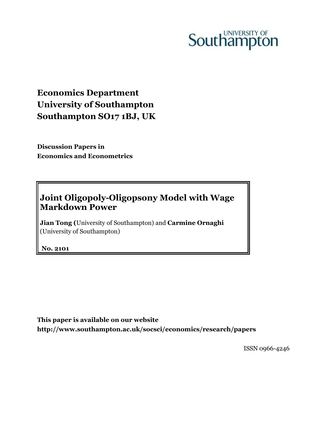# Southampton

# **Economics Department University of Southampton Southampton SO17 1BJ, UK**

**Discussion Papers in Economics and Econometrics**

## **Joint Oligopoly-Oligopsony Model with Wage Markdown Power**

**Jian Tong (**University of Southampton) and **Carmine Ornaghi** (University of Southampton)

**No. 2101**

**This paper is available on our website http://www.southampton.ac.uk/socsci/economics/research/papers**

ISSN 0966-4246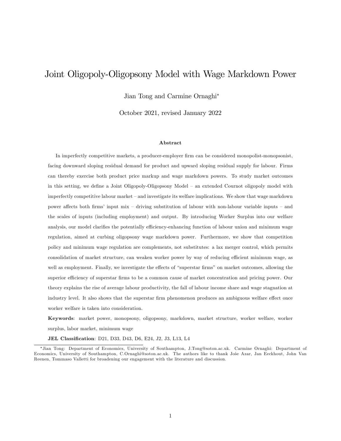## Joint Oligopoly-Oligopsony Model with Wage Markdown Power

Jian Tong and Carmine Ornaghi

October 2021, revised January 2022

#### Abstract

In imperfectly competitive markets, a producer-employer firm can be considered monopolist-monopsonist, facing downward sloping residual demand for product and upward sloping residual supply for labour. Firms can thereby exercise both product price markup and wage markdown powers. To study market outcomes in this setting, we define a Joint Oligopoly-Oligopsony Model – an extended Cournot oligopoly model with imperfectly competitive labour market – and investigate its welfare implications. We show that wage markdown power affects both firms' input mix – driving substitution of labour with non-labour variable inputs – and the scales of inputs (including employment) and output. By introducing Worker Surplus into our welfare analysis, our model clarifies the potentially efficiency-enhancing function of labour union and minimum wage regulation, aimed at curbing oligopsony wage markdown power. Furthermore, we show that competition policy and minimum wage regulation are complements, not substitutes: a lax merger control, which permits consolidation of market structure, can weaken worker power by way of reducing efficient minimum wage, as well as employment. Finally, we investigate the effects of "superstar firms" on market outcomes, allowing the superior efficiency of superstar firms to be a common cause of market concentration and pricing power. Our theory explains the rise of average labour productivity, the fall of labour income share and wage stagnation at industry level. It also shows that the superstar firm phenomenon produces an ambiguous welfare effect once worker welfare is taken into consideration.

Keywords: market power, monopsony, oligopsony, markdown, market structure, worker welfare, worker surplus, labor market, minimum wage

JEL Classification: D21, D33, D43, D6, E24, J2, J3, L13, L4

<sup>\*</sup>Jian Tong: Department of Economics, University of Southampton, J.Tong@soton.ac.uk. Carmine Ornaghi: Department of Economics, University of Southampton, C.Ornaghi@soton.ac.uk. The authors like to thank Jose Azar, Jan Eeckhout, John Van Reenen, Tommaso Valletti for broadening our engagement with the literature and discussion.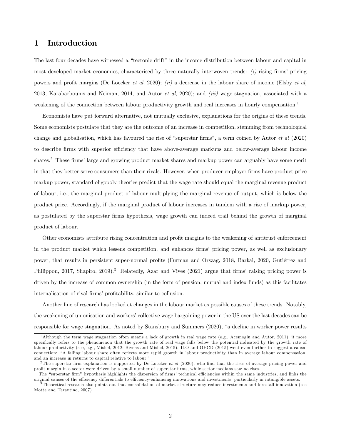## 1 Introduction

The last four decades have witnessed a "tectonic drift" in the income distribution between labour and capital in most developed market economies, characterised by three naturally interwoven trends:  $(i)$  rising firms' pricing powers and profit margins (De Loecker et al, 2020); (ii) a decrease in the labour share of income (Elsby et al, 2013, Karabarbounis and Neiman, 2014, and Autor *et al*, 2020); and *(iii)* wage stagnation, associated with a weakening of the connection between labour productivity growth and real increases in hourly compensation.<sup>1</sup>

Economists have put forward alternative, not mutually exclusive, explanations for the origins of these trends. Some economists postulate that they are the outcome of an increase in competition, stemming from technological change and globalisation, which has favoured the rise of "superstar firms", a term coined by Autor  $et \ al (2020)$ to describe firms with superior efficiency that have above-average markups and below-average labour income shares.<sup>2</sup> These firms' large and growing product market shares and markup power can arguably have some merit in that they better serve consumers than their rivals. However, when producer-employer Örms have product price markup power, standard oligopoly theories predict that the wage rate should equal the marginal revenue product of labour, i.e., the marginal product of labour multiplying the marginal revenue of output, which is below the product price. Accordingly, if the marginal product of labour increases in tandem with a rise of markup power, as postulated by the superstar Örms hypothesis, wage growth can indeed trail behind the growth of marginal product of labour.

Other economists attribute rising concentration and profit margins to the weakening of antitrust enforcement in the product market which lessens competition, and enhances firms' pricing power, as well as exclusionary power, that results in persistent super-normal profits (Furman and Orszag, 2018, Barkai, 2020, Gutièrrez and Philippon, 2017, Shapiro, 2019).<sup>3</sup> Relatedly, Azar and Vives (2021) argue that firms' raising pricing power is driven by the increase of common ownership (in the form of pension, mutual and index funds) as this facilitates internalisation of rival firms' profitability, similar to collusion.

Another line of research has looked at changes in the labour market as possible causes of these trends. Notably, the weakening of unionisation and workersícollective wage bargaining power in the US over the last decades can be responsible for wage stagnation. As noted by Stansbury and Summers (2020), "a decline in worker power results

<sup>&</sup>lt;sup>1</sup>Although the term wage stagnation often means a lack of growth in real wage rate (e.g., Acemoglu and Autor, 2011), it more speciÖcally refers to the phenomenon that the growth rate of real wage falls below the potential indicated by the growth rate of labour productivity (see, e.g., Mishel, 2012; Bivens and Mishel, 2015). ILO and OECD (2015) went even further to suggest a causal connection: "A falling labour share often reflects more rapid growth in labour productivity than in average labour compensation, and an increase in returns to capital relative to labour."

<sup>&</sup>lt;sup>2</sup>The superstar firm explanation is supported by De Loecker *et al* (2020), who find that the rises of average pricing power and profit margin in a sector were driven by a small number of superstar firms, while sector medians saw no rises.

The "superstar firm" hypothesis highlights the dispersion of firms' technical efficiencies within the same industries, and links the original causes of the efficiency differentials to efficiency-enhancing innovations and investments, particularly in intangible assets.

<sup>3</sup> Theoretical research also points out that consolidation of market structure may reduce investments and forestall innovation (see Motta and Tarantino, 2007).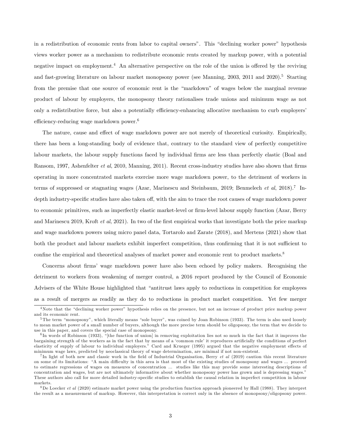in a redistribution of economic rents from labor to capital owners". This "declining worker power" hypothesis views worker power as a mechanism to redistribute economic rents created by markup power, with a potential negative impact on employment.<sup>4</sup> An alternative perspective on the role of the union is offered by the reviving and fast-growing literature on labour market monopsony power (see Manning, 2003, 2011 and 2020).<sup>5</sup> Starting from the premise that one source of economic rent is the "markdown" of wages below the marginal revenue product of labour by employers, the monopsony theory rationalises trade unions and minimum wage as not only a redistributive force, but also a potentially efficiency-enhancing allocative mechanism to curb employers' efficiency-reducing wage markdown power.<sup>6</sup>

The nature, cause and effect of wage markdown power are not merely of theoretical curiosity. Empirically, there has been a long-standing body of evidence that, contrary to the standard view of perfectly competitive labour markets, the labour supply functions faced by individual firms are less than perfectly elastic (Boal and Ransom, 1997, Ashenfelter *et al*, 2010, Manning, 2011). Recent cross-industry studies have also shown that firms operating in more concentrated markets exercise more wage markdown power, to the detriment of workers in terms of suppressed or stagnating wages (Azar, Marinescu and Steinbaum, 2019; Benmelech et al, 2018).<sup>7</sup> Indepth industry-specific studies have also taken off, with the aim to trace the root causes of wage markdown power to economic primitives, such as imperfectly elastic market-level or Örm-level labour supply function (Azar, Berry and Marinescu 2019, Kroft *et al.* 2021). In two of the first empirical works that investigate both the price markup and wage markdown powers using micro panel data, Tortarolo and Zarate (2018), and Mertens (2021) show that both the product and labour markets exhibit imperfect competition, thus confirming that it is not sufficient to confine the empirical and theoretical analyses of market power and economic rent to product markets.<sup>8</sup>

Concerns about firms' wage markdown power have also been echoed by policy makers. Recognising the detriment to workers from weakening of merger control, a 2016 report produced by the Council of Economic Advisers of the White House highlighted that "antitrust laws apply to reductions in competition for employees as a result of mergers as readily as they do to reductions in product market competition. Yet few merger

<sup>&</sup>lt;sup>4</sup>Note that the "declining worker power" hypothesis relies on the presence, but not an increase of product price markup power and its economic rent.

 $5$ The term "monopsony", which literally means "sole buyer", was coined by Joan Robinson (1933). The term is also used loosely to mean market power of a small number of buyers, although the more precise term should be oligopsony, the term that we decide to use in this paper, and covers the special case of monopsony.

 ${}^6$ In words of Robinson (1933), "[the function of union] in removing exploitation lies not so much in the fact that it improves the bargaining strength of the workers as in the fact that by means of a 'common rule' it reproduces artificially the conditions of perfect elasticity of supply of labour to individual employers." Card and Krueger (1995) argued that the negative employment effects of minimum wage laws, predicted by neoclassical theory of wage determination, are minimal if not non-existent.

<sup>&</sup>lt;sup>7</sup>In light of both new and classic work in the field of Industrial Organisation, Berry *et al* (2019) caution this recent literature on some of its limitations: "A main difficulty in this area is that most of the existing studies of monopsony and wages ... proceed to estimate regressions of wages on measures of concentration ... studies like this may provide some interesting descriptions of concentration and wages, but are not ultimately informative about whether monopsony power has grown and is depressing wages." These authors also call for more detailed industry-specific studies to establish the causal relation in imperfect competition in labour markets.

<sup>&</sup>lt;sup>8</sup>De Loecker *et al* (2020) estimate market power using the production function approach pioneered by Hall (1988). They interpret the result as a measurement of markup. However, this interpretation is correct only in the absence of monopsony/oligopsony power.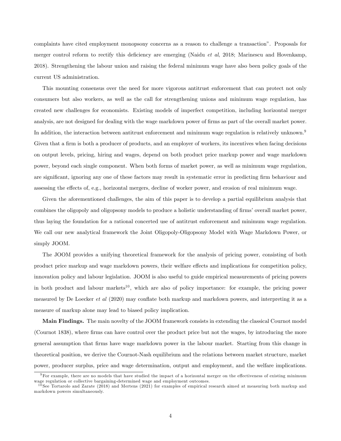complaints have cited employment monopsony concerns as a reason to challenge a transactionî. Proposals for merger control reform to rectify this deficiency are emerging (Naidu et al, 2018; Marinescu and Hovenkamp, 2018). Strengthening the labour union and raising the federal minimum wage have also been policy goals of the current US administration.

This mounting consensus over the need for more vigorous antitrust enforcement that can protect not only consumers but also workers, as well as the call for strengthening unions and minimum wage regulation, has created new challenges for economists. Existing models of imperfect competition, including horizontal merger analysis, are not designed for dealing with the wage markdown power of firms as part of the overall market power. In addition, the interaction between antitrust enforcement and minimum wage regulation is relatively unknown.<sup>9</sup> Given that a firm is both a producer of products, and an employer of workers, its incentives when facing decisions on output levels, pricing, hiring and wages, depend on both product price markup power and wage markdown power, beyond each single component. When both forms of market power, as well as minimum wage regulation, are significant, ignoring any one of these factors may result in systematic error in predicting firm behaviour and assessing the effects of, e.g., horizontal mergers, decline of worker power, and erosion of real minimum wage.

Given the aforementioned challenges, the aim of this paper is to develop a partial equilibrium analysis that combines the oligopoly and oligopsony models to produce a holistic understanding of firms' overall market power, thus laying the foundation for a rational concerted use of antitrust enforcement and minimum wage regulation. We call our new analytical framework the Joint Oligopoly-Oligopsony Model with Wage Markdown Power, or simply JOOM.

The JOOM provides a unifying theoretical framework for the analysis of pricing power, consisting of both product price markup and wage markdown powers, their welfare effects and implications for competition policy, innovation policy and labour legislation. JOOM is also useful to guide empirical measurements of pricing powers in both product and labour markets<sup>10</sup>, which are also of policy importance: for example, the pricing power measured by De Loecker *et al* (2020) may conflate both markup and markdown powers, and interpreting it as a measure of markup alone may lead to biased policy implication.

Main Findings. The main novelty of the JOOM framework consists in extending the classical Cournot model (Cournot 1838), where firms can have control over the product price but not the wages, by introducing the more general assumption that Örms have wage markdown power in the labour market. Starting from this change in theoretical position, we derive the Cournot-Nash equilibrium and the relations between market structure, market power, producer surplus, price and wage determination, output and employment, and the welfare implications.

 $9$ For example, there are no models that have studied the impact of a horizontal merger on the effectiveness of existing minimum wage regulation or collective bargaining-determined wage and employment outcomes.

 $10$  See Tortarolo and Zarate (2018) and Mertens (2021) for examples of empirical research aimed at measuring both markup and markdown powers simultaneously.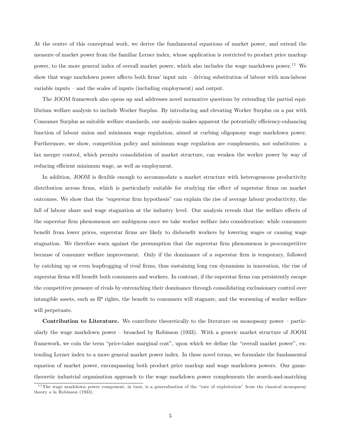At the centre of this conceptual work, we derive the fundamental equations of market power, and extend the measure of market power from the familiar Lerner index, whose application is restricted to product price markup power, to the more general index of overall market power, which also includes the wage markdown power.<sup>11</sup> We show that wage markdown power affects both firms' input mix  $-$  driving substitution of labour with non-labour variable inputs  $-$  and the scales of inputs (including employment) and output.

The JOOM framework also opens up and addresses novel normative questions by extending the partial equilibrium welfare analysis to include Worker Surplus. By introducing and elevating Worker Surplus on a par with Consumer Surplus as suitable welfare standards, our analysis makes apparent the potentially efficiency-enhancing function of labour union and minimum wage regulation, aimed at curbing oligopsony wage markdown power. Furthermore, we show, competition policy and minimum wage regulation are complements, not substitutes: a lax merger control, which permits consolidation of market structure, can weaken the worker power by way of reducing efficient minimum wage, as well as employment.

In addition, JOOM is flexible enough to accommodate a market structure with heterogeneous productivity distribution across firms, which is particularly suitable for studying the effect of superstar firms on market outcomes. We show that the "superstar firm hypothesis" can explain the rise of average labour productivity, the fall of labour share and wage stagnation at the industry level. Our analysis reveals that the welfare effects of the superstar Örm phenomenon are ambiguous once we take worker welfare into consideration: while consumers benefit from lower prices, superstar firms are likely to disbenefit workers by lowering wages or causing wage stagnation. We therefore warn against the presumption that the superstar firm phenomenon is procompetitive because of consumer welfare improvement. Only if the dominance of a superstar firm is temporary, followed by catching up or even leapfrogging of rival Örms, thus sustaining long run dynamism in innovation, the rise of superstar firms will benefit both consumers and workers. In contrast, if the superstar firms can persistently escape the competitive pressure of rivals by entrenching their dominance through consolidating exclusionary control over intangible assets, such as IP rights, the benefit to consumers will stagnate, and the worsening of worker welfare will perpetuate.

**Contribution to Literature.** We contribute theoretically to the literature on monopsony power  $-\text{partic}$ ularly the wage markdown power – broached by Robinson (1933). With a generic market structure of JOOM framework, we coin the term "price-taker marginal cost", upon which we define the "overall market power", extending Lerner index to a more general market power index. In these novel terms, we formulate the fundamental equation of market power, encompassing both product price markup and wage markdown powers. Our gametheoretic industrial organisation approach to the wage markdown power complements the search-and-matching

<sup>&</sup>lt;sup>11</sup> The wage markdown power component, in turn, is a generalisation of the "rate of exploitation" from the classical monopsony theory a la Robinson (1933).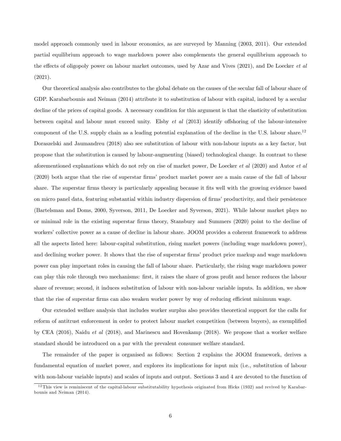model approach commonly used in labour economics, as are surveyed by Manning (2003, 2011). Our extended partial equilibrium approach to wage markdown power also complements the general equilibrium approach to the effects of oligopoly power on labour market outcomes, used by Azar and Vives (2021), and De Loecker *et al* (2021).

Our theoretical analysis also contributes to the global debate on the causes of the secular fall of labour share of GDP. Karabarbounis and Neiman (2014) attribute it to substitution of labour with capital, induced by a secular decline of the prices of capital goods. A necessary condition for this argument is that the elasticity of substitution between capital and labour must exceed unity. Elsby *et al*  $(2013)$  identify offshoring of the labour-intensive component of the U.S. supply chain as a leading potential explanation of the decline in the U.S. labour share.<sup>12</sup> Doraszelski and Jaumandreu (2018) also see substitution of labour with non-labour inputs as a key factor, but propose that the substitution is caused by labour-augmenting (biased) technological change. In contrast to these aforementioned explanations which do not rely on rise of market power, De Loecker et al (2020) and Autor et al (2020) both argue that the rise of superstar firms' product market power are a main cause of the fall of labour share. The superstar firms theory is particularly appealing because it fits well with the growing evidence based on micro panel data, featuring substantial within industry dispersion of firms' productivity, and their persistence (Bartelsman and Doms, 2000, Syverson, 2011, De Loecker and Syverson, 2021). While labour market plays no or minimal role in the existing superstar Örms theory, Stansbury and Summers (2020) point to the decline of workers' collective power as a cause of decline in labour share. JOOM provides a coherent framework to address all the aspects listed here: labour-capital substitution, rising market powers (including wage markdown power), and declining worker power. It shows that the rise of superstar firms' product price markup and wage markdown power can play important roles in causing the fall of labour share. Particularly, the rising wage markdown power can play this role through two mechanisms: first, it raises the share of gross profit and hence reduces the labour share of revenue; second, it induces substitution of labour with non-labour variable inputs. In addition, we show that the rise of superstar firms can also weaken worker power by way of reducing efficient minimum wage.

Our extended welfare analysis that includes worker surplus also provides theoretical support for the calls for reform of antitrust enforcement in order to protect labour market competition (between buyers), as exemplified by CEA (2016), Naidu et al (2018), and Marinescu and Hovenkamp (2018). We propose that a worker welfare standard should be introduced on a par with the prevalent consumer welfare standard.

The remainder of the paper is organised as follows: Section 2 explains the JOOM framework, derives a fundamental equation of market power, and explores its implications for input mix (i.e., substitution of labour with non-labour variable inputs) and scales of inputs and output. Sections 3 and 4 are devoted to the function of

<sup>&</sup>lt;sup>12</sup>This view is reminiscent of the capital-labour substitutability hypothesis originated from Hicks (1932) and revived by Karabarbounis and Neiman (2014).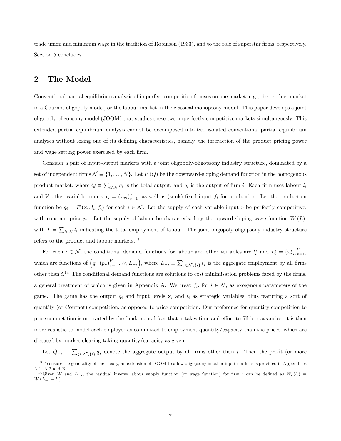trade union and minimum wage in the tradition of Robinson (1933), and to the role of superstar firms, respectively. Section 5 concludes.

## 2 The Model

Conventional partial equilibrium analysis of imperfect competition focuses on one market, e.g., the product market in a Cournot oligopoly model, or the labour market in the classical monopsony model. This paper develops a joint oligopoly-oligopsony model (JOOM) that studies these two imperfectly competitive markets simultaneously. This extended partial equilibrium analysis cannot be decomposed into two isolated conventional partial equilibrium analyses without losing one of its defining characteristics, namely, the interaction of the product pricing power and wage setting power exercised by each firm.

Consider a pair of input-output markets with a joint oligopoly-oligopsony industry structure, dominated by a set of independent firms  $\mathcal{N} \equiv \{1, \ldots, N\}$ . Let  $P(Q)$  be the downward-sloping demand function in the homogenous product market, where  $Q \equiv \sum_{i \in \mathcal{N}} q_i$  is the total output, and  $q_i$  is the output of firm i. Each firm uses labour  $l_i$ and V other variable inputs  $\mathbf{x}_i = (x_{vi})_{v=1}^V$ , as well as (sunk) fixed input  $f_i$  for production. Let the production function be  $q_i = F(\mathbf{x}_i, l_i; f_i)$  for each  $i \in \mathcal{N}$ . Let the supply of each variable input v be perfectly competitive, with constant price  $p_v$ . Let the supply of labour be characterised by the upward-sloping wage function  $W(L)$ , with  $L = \sum_{i \in \mathcal{N}} l_i$  indicating the total employment of labour. The joint oligopoly-oligopsony industry structure refers to the product and labour markets.<sup>13</sup>

For each  $i \in \mathcal{N}$ , the conditional demand functions for labour and other variables are  $l_i^*$  and  $\mathbf{x}_i^* = (x_{vi}^*)_{v=1}^V$ , which are functions of  $(q_i,(p_v)_{v=1}^V,W,L_{-i})$ , where  $L_{-i} \equiv \sum_{j \in \mathcal{N} \setminus \{i\}} l_j$  is the aggregate employment by all firms other than  $i^{14}$  The conditional demand functions are solutions to cost minimisation problems faced by the firms, a general treatment of which is given in Appendix A. We treat  $f_i$ , for  $i \in \mathcal{N}$ , as exogenous parameters of the game. The game has the output  $q_i$  and input levels  $x_i$  and  $l_i$  as strategic variables, thus featuring a sort of quantity (or Cournot) competition, as opposed to price competition. Our preference for quantity competition to price competition is motivated by the fundamental fact that it takes time and effort to fill job vacancies: it is then more realistic to model each employer as committed to employment quantity/capacity than the prices, which are dictated by market clearing taking quantity/capacity as given.

Let  $Q_{-i} \equiv \sum_{j \in \mathcal{N} \setminus \{i\}} q_j$  denote the aggregate output by all firms other than i. Then the profit (or more

<sup>&</sup>lt;sup>13</sup> To ensure the generality of the theory, an extension of JOOM to allow oligopsony in other input markets is provided in Appendices A.1, A.2 and B.

<sup>&</sup>lt;sup>14</sup>Given W and  $L_{-i}$ , the residual inverse labour supply function (or wage function) for firm i can be defined as  $W_i (l_i) \equiv$  $W(L_{-i} + l_i).$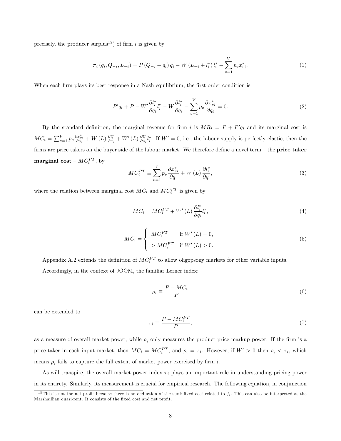precisely, the producer surplus<sup>15</sup>) of firm i is given by

$$
\pi_i (q_i, Q_{-i}, L_{-i}) = P (Q_{-i} + q_i) q_i - W (L_{-i} + l_i^*) l_i^* - \sum_{v=1}^V p_v x_{vi}^*.
$$
\n(1)

When each firm plays its best response in a Nash equilibrium, the first order condition is

$$
P'q_i + P - W'\frac{\partial l_i^*}{\partial q_i}l_i^* - W\frac{\partial l_i^*}{\partial q_i} - \sum_{v=1}^V p_v \frac{\partial x_{vi}^*}{\partial q_i} = 0.
$$
\n
$$
(2)
$$

By the standard definition, the marginal revenue for firm i is  $MR_i = P + P'q_i$  and its marginal cost is  $MC_i = \sum_{v=1}^{V} p_v \frac{\partial x_{vi}^*}{\partial q_i} + W(L) \frac{\partial l_i^*}{\partial q_i} + W'(L) \frac{\partial l_i^*}{\partial q_i} l_i^*.$  If  $W' = 0$ , i.e., the labour supply is perfectly elastic, then the firms are price takers on the buyer side of the labour market. We therefore define a novel term  $-$  the **price taker**  $\mathbf{marginal\ cost}$  –  $MC_i^{PT},\, \text{by}$ 

$$
MC_i^{PT} \equiv \sum_{v=1}^V p_v \frac{\partial x_{vi}^*}{\partial q_i} + W(L) \frac{\partial l_i^*}{\partial q_i},\tag{3}
$$

where the relation between marginal cost  $MC_i$  and  $MC_i^{\text{PT}}$  is given by

$$
MC_i = MC_i^{PT} + W'(L)\frac{\partial l_i^*}{\partial q_i}l_i^*,\tag{4}
$$

$$
MC_i = \begin{cases} MC_i^{PT} & \text{if } W'(L) = 0, \\ > MC_i^{PT} & \text{if } W'(L) > 0. \end{cases}
$$
 (5)

Appendix A.2 extends the definition of  $MC_i^{PT}$  to allow oligopsony markets for other variable inputs.

Accordingly, in the context of JOOM, the familiar Lerner index:

$$
\rho_i \equiv \frac{P - MC_i}{P} \tag{6}
$$

can be extended to

$$
\tau_i \equiv \frac{P - MC_i^{PT}}{P},\tag{7}
$$

as a measure of overall market power, while  $\rho_i$  only measures the product price markup power. If the firm is a price-taker in each input market, then  $MC_i = MC_i^{PT}$ , and  $\rho_i = \tau_i$ . However, if  $W' > 0$  then  $\rho_i < \tau_i$ , which means  $\rho_i$  fails to capture the full extent of market power exercised by firm i.

As will transpire, the overall market power index  $\tau_i$  plays an important role in understanding pricing power in its entirety. Similarly, its measurement is crucial for empirical research. The following equation, in conjunction

<sup>&</sup>lt;sup>15</sup> This is not the net profit because there is no deduction of the sunk fixed cost related to  $f_i$ . This can also be interpreted as the Marshaillian quasi-rent. It consists of the fixed cost and net profit.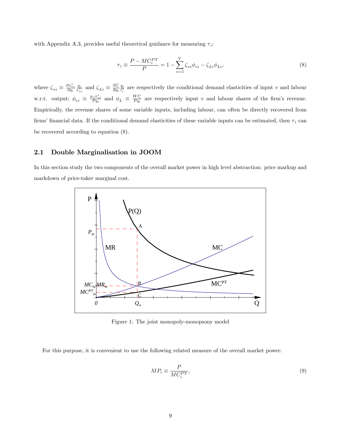with Appendix A.3, provides useful theoretical guidance for measuring  $\tau_i$ :

$$
\tau_i \equiv \frac{P - MC_i^{PT}}{P} = 1 - \sum_{v=1}^{V} \zeta_{vi} \phi_{vi} - \zeta_{Li} \phi_{Li},\tag{8}
$$

where  $\zeta_{vi} \equiv \frac{\partial x_{vi}^*}{\partial q_i} \frac{q_i}{x_{vi}^*}$  and  $\zeta_{Li} \equiv \frac{\partial l_i^*}{\partial q_i} \frac{q_i}{l_i^*}$  are respectively the conditional demand elasticities of input v and labour w.r.t. output;  $\phi_{vi} \equiv \frac{p_v x_{vi}^*}{P q_i}$  and  $\phi_L \equiv \frac{W l_i^*}{P q_i}$  are respectively input v and labour shares of the firm's revenue. Empirically, the revenue shares of some variable inputs, including labour, can often be directly recovered from firms' financial data. If the conditional demand elasticities of these variable inputs can be estimated, then  $\tau_i$  can be recovered according to equation (8).

#### 2.1 Double Marginalisation in JOOM

In this section study the two components of the overall market power in high level abstraction: price markup and markdown of price-taker marginal cost.



Figure 1: The joint monopoly-monopsony model

For this purpose, it is convenient to use the following related measure of the overall market power:

$$
MP_i \equiv \frac{P}{MC_i^{PT}},\tag{9}
$$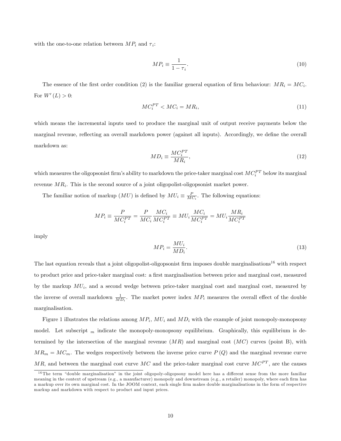with the one-to-one relation between  $MP_i$  and  $\tau_i$ :

$$
MP_i \equiv \frac{1}{1 - \tau_i}.\tag{10}
$$

The essence of the first order condition (2) is the familiar general equation of firm behaviour:  $MR_i = MC_i$ . For  $W'(L) > 0$ :

$$
MC_i^{PT} < MC_i = MR_i,\tag{11}
$$

which means the incremental inputs used to produce the marginal unit of output receive payments below the marginal revenue, reflecting an overall markdown power (against all inputs). Accordingly, we define the overall markdown as:

$$
MD_i \equiv \frac{MC_i^{PT}}{MR_i},\tag{12}
$$

which measures the oligopsonist firm's ability to markdown the price-taker marginal cost  $MC_i^{PT}$  below its marginal revenue  $MR_i$ . This is the second source of a joint oligopolist-oligopsonist market power.

The familiar notion of markup  $(MU)$  is defined by  $MU_i \equiv \frac{P}{MC_i}$ . The following equations:

$$
M P_i \equiv \frac{P}{M C_i^{PT}} = \frac{P}{M C_i} \frac{M C_i}{M C_i^{PT}} \equiv M U_i \frac{M C_i}{M C_i^{PT}} = M U_i \frac{M R_i}{M C_i^{PT}}
$$

imply

$$
MP_i = \frac{MU_i}{MD_i}.\tag{13}
$$

The last equation reveals that a joint oligopolist-oligopsonist firm imposes double marginalisations<sup>16</sup> with respect to product price and price-taker marginal cost: a first marginalisation between price and marginal cost, measured by the markup  $MU_i$ , and a second wedge between price-taker marginal cost and marginal cost, measured by the inverse of overall markdown  $\frac{1}{MD_i}$ . The market power index  $MP_i$  measures the overall effect of the double marginalisation.

Figure 1 illustrates the relations among  $MP_i$ ,  $MU_i$  and  $MD_i$  with the example of joint monopoly-monopsony model. Let subscript  $_m$  indicate the monopoly-monopsony equilibrium. Graphically, this equilibrium is determined by the intersection of the marginal revenue  $(MR)$  and marginal cost  $(MC)$  curves (point B), with  $MR_m = MC_m$ . The wedges respectively between the inverse price curve  $P(Q)$  and the marginal revenue curve MR, and between the marginal cost curve MC and the price-taker marginal cost curve  $MC^{PT}$ , are the causes

 $16$  The term "double marginalisation" in the joint oligopoly-oligopsony model here has a different sense from the more familiar meaning in the context of upstream (e.g., a manufacturer) monopoly and downstream (e.g., a retailer) monopoly, where each firm has a markup over its own marginal cost. In the JOOM context, each single firm makes double marginalisations in the form of respective markup and markdown with respect to product and input prices.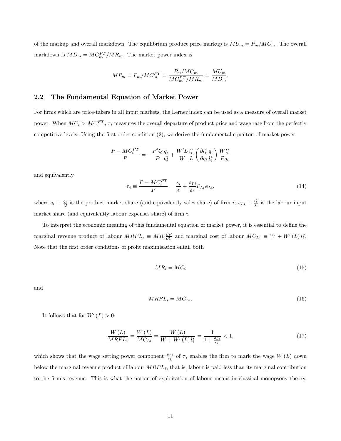of the markup and overall markdown. The equilibrium product price markup is  $MU_m = P_m/MC_m$ . The overall markdown is  $MD_m = MC_m^{PT}/MR_m$ . The market power index is

$$
MP_m = P_m/MC_m^{PT} = \frac{P_m/MC_m}{MC_m^{PT}/MR_m} = \frac{MU_m}{MD_m}.
$$

#### 2.2 The Fundamental Equation of Market Power

For firms which are price-takers in all input markets, the Lerner index can be used as a measure of overall market power. When  $MC_i > MC_i^{PT}$ ,  $\tau_i$  measures the overall departure of product price and wage rate from the perfectly competitive levels. Using the first order condition (2), we derive the fundamental equaiton of market power:

$$
\frac{P - MC_i^{PT}}{P} = -\frac{P'Q}{P}\frac{q_i}{Q} + \frac{W'L}{W}\frac{l_i^*}{L}\left(\frac{\partial l_i^*}{\partial q_i}\frac{q_i}{l_i^*}\right)\frac{Wl_i^*}{Pq_i}
$$

and equivalently

$$
\tau_i \equiv \frac{P - MC_i^{PT}}{P} = \frac{s_i}{\epsilon} + \frac{s_{Li}}{\epsilon_L} \zeta_{Li} \phi_{Li},\tag{14}
$$

where  $s_i \equiv \frac{q_i}{Q}$  is the product market share (and equivalently sales share) of firm i;  $s_{Li} \equiv \frac{l_i^*}{L}$  is the labour input market share (and equivalently labour expenses share) of firm  $i$ .

To interpret the economic meaning of this fundamental equation of market power, it is essential to define the marginal revenue product of labour  $MRPL_i \equiv MR_i \frac{\partial F}{\partial l_i}$  and marginal cost of labour  $MC_{Li} \equiv W + W'(L)l_i^*$ . Note that the first order conditions of profit maximisation entail both

$$
MR_i = MC_i \tag{15}
$$

and

$$
MRPL_i = MC_{Li}.\tag{16}
$$

It follows that for  $W'(L) > 0$ :

$$
\frac{W\left(L\right)}{MRPL_i} = \frac{W\left(L\right)}{MC_{Li}} = \frac{W\left(L\right)}{W + W'\left(L\right)l_i^*} = \frac{1}{1 + \frac{s_{Li}}{\epsilon_L}} < 1,\tag{17}
$$

which shows that the wage setting power component  $\frac{s_{Li}}{\epsilon_L}$  of  $\tau_i$  enables the firm to mark the wage  $W(L)$  down below the marginal revenue product of labour  $MRPL_i$ , that is, labour is paid less than its marginal contribution to the Örmís revenue. This is what the notion of exploitation of labour means in classical monopsony theory.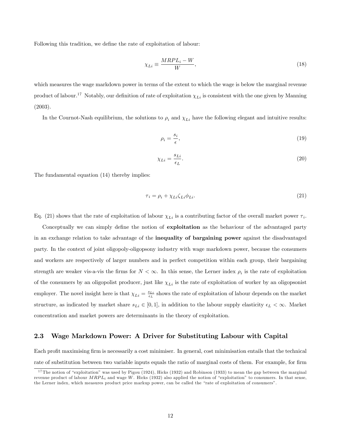Following this tradition, we define the rate of exploitation of labour:

$$
\chi_{Li} \equiv \frac{MRPL_i - W}{W},\tag{18}
$$

which measures the wage markdown power in terms of the extent to which the wage is below the marginal revenue product of labour.<sup>17</sup> Notably, our definition of rate of exploitation  $\chi_{Li}$  is consistent with the one given by Manning (2003).

In the Cournot-Nash equilibrium, the solutions to  $\rho_i$  and  $\chi_{Li}$  have the following elegant and intuitive results:

$$
\rho_i = \frac{s_i}{\epsilon},\tag{19}
$$

$$
\chi_{Li} = \frac{s_{Li}}{\epsilon_L}.\tag{20}
$$

The fundamental equation (14) thereby implies:

$$
\tau_i = \rho_i + \chi_{Li} \zeta_{Li} \phi_{Li}.\tag{21}
$$

Eq. (21) shows that the rate of exploitation of labour  $\chi_{Li}$  is a contributing factor of the overall market power  $\tau_i$ .

Conceptually we can simply define the notion of **exploitation** as the behaviour of the advantaged party in an exchange relation to take advantage of the inequality of bargaining power against the disadvantaged party. In the context of joint oligopoly-oligopsony industry with wage markdown power, because the consumers and workers are respectively of larger numbers and in perfect competition within each group, their bargaining strength are weaker vis-a-vis the firms for  $N < \infty$ . In this sense, the Lerner index  $\rho_i$  is the rate of exploitation of the consumers by an oligopolist producer, just like  $\chi_{Li}$  is the rate of exploitation of worker by an oligopsonist employer. The novel insight here is that  $\chi_{Li} = \frac{s_{Li}}{\epsilon_L}$  shows the rate of exploitation of labour depends on the market structure, as indicated by market share  $s_{Li} \in [0, 1]$ , in addition to the labour supply elasticity  $\epsilon_L < \infty$ . Market concentration and market powers are determinants in the theory of exploitation.

#### 2.3 Wage Markdown Power: A Driver for Substituting Labour with Capital

Each profit maximising firm is necessarily a cost minimiser. In general, cost minimisation entails that the technical rate of substitution between two variable inputs equals the ratio of marginal costs of them. For example, for firm

<sup>&</sup>lt;sup>17</sup> The notion of "exploitation" was used by Pigou (1924), Hicks (1932) and Robinson (1933) to mean the gap between the marginal revenue product of labour  $MRPL_i$  and wage W. Hicks (1932) also applied the notion of "exploitation" to consumers. In that sense, the Lerner index, which measures product price markup power, can be called the "rate of exploitation of consumers".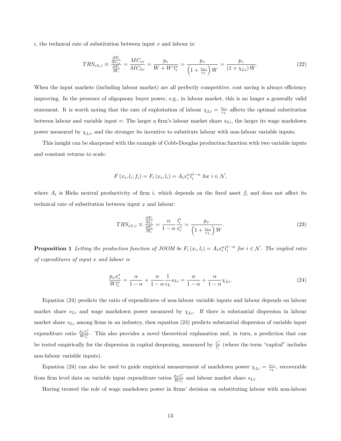i, the technical rate of substitution between input  $v$  and labour is:

$$
TRS_{vL,i} \equiv \frac{\frac{\partial F_i}{\partial x_{vi}}}{\frac{\partial F_i}{\partial l_i}} = \frac{MC_{vi}}{MC_{Li}} = \frac{p_v}{W + W'l_i^*} = \frac{p_v}{\left(1 + \frac{s_{Li}}{\epsilon_L}\right)W} = \frac{p_v}{\left(1 + \chi_{Li}\right)W}.
$$
\n(22)

When the input markets (including labour market) are all perfectly competitive, cost saving is always efficiency improving. In the presence of oligopsony buyer power, e.g., in labour market, this is no longer a generally valid statement. It is worth noting that the rate of exploitation of labour  $\chi_{Li} = \frac{s_{Li}}{\epsilon_L}$  affects the optimal substitution between labour and variable input v: The larger a firm's labour market share  $s_{Li}$ , the larger its wage markdown power measured by  $\chi_{Li}$ , and the stronger its incentive to substitute labour with non-labour variable inputs.

This insight can be sharpened with the example of Cobb-Douglas production function with two variable inputs and constant returns to scale:

$$
F(x_i, l_i; f_i) = F_i(x_i, l_i) = A_i x_i^{\alpha} l_i^{1-\alpha} \text{ for } i \in \mathcal{N},
$$

where  $A_i$  is Hicks neutral productivity of firm i, which depends on the fixed asset  $f_i$  and does not affect its technical rate of substitution between input  $x$  and labour:

$$
TRS_{xL,i} \equiv \frac{\frac{\partial F_i}{\partial x_i}}{\frac{\partial F_i}{\partial l_i}} = \frac{\alpha}{1 - \alpha} \frac{l_i^*}{x_i^*} = \frac{p_x}{\left(1 + \frac{s_{Li}}{\epsilon_L}\right)W}.\tag{23}
$$

**Proposition 1** Letting the production function of JOOM be  $F_i(x_i, l_i) = A_i x_i^{\alpha} l_i^{1-\alpha}$  for  $i \in \mathcal{N}$ . The implied ratio of expenditures of input x and labour is

$$
\frac{p_x x_i^*}{W l_i^*} = \frac{\alpha}{1 - \alpha} + \frac{\alpha}{1 - \alpha} \frac{1}{\epsilon_L} s_{Li} = \frac{\alpha}{1 - \alpha} + \frac{\alpha}{1 - \alpha} \chi_{Li}.
$$
\n(24)

Equation (24) predicts the ratio of expenditures of non-labour variable inputs and labour depends on labour market share  $s_{Li}$  and wage markdown power measured by  $\chi_{Li}$ . If there is substantial dispersion in labour market share  $s_{Li}$  among firms in an industry, then equation (24) predicts substantial dispersion of variable input expenditure ratio  $\frac{p_x x_i^*}{W_i^*}$ . This also provides a novel theoretical explanation and, in turn, a prediction that can be tested empirically for the dispersion in capital deepening, measured by  $\frac{x_i^*}{l_i^*}$  (where the term "capital" includes non-labour variable inputs).

Equation (24) can also be used to guide empirical measurement of markdown power  $\chi_{Li} = \frac{s_{Li}}{\epsilon_L}$ , recoverable from firm level data on variable input expenditure ratios  $\frac{p_x x_i^*}{W l_i^*}$  and labour market share  $s_{Li}$ .

Having treated the role of wage markdown power in firms' decision on substituting labour with non-labour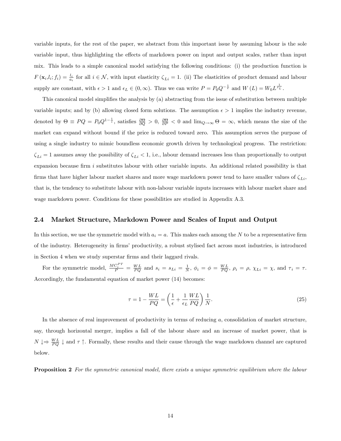variable inputs, for the rest of the paper, we abstract from this important issue by assuming labour is the sole variable input, thus highlighting the effects of markdown power on input and output scales, rather than input mix. This leads to a simple canonical model satisfying the following conditions: (i) the production function is  $F(\mathbf{x}_i, l_i; f_i) = \frac{l_i}{a_i}$  for all  $i \in \mathcal{N}$ , with input elasticity  $\zeta_{Li} = 1$ . (ii) The elasticities of product demand and labour supply are constant, with  $\epsilon > 1$  and  $\epsilon_L \in (0, \infty)$ . Thus we can write  $P = P_0 Q^{-\frac{1}{\epsilon}}$  and  $W(L) = W_0 L^{\frac{1}{\epsilon_L}}$ .

This canonical model simplifies the analysis by (a) abstracting from the issue of substitution between multiple variable inputs; and by (b) allowing closed form solutions. The assumption  $\epsilon > 1$  implies the industry revenue, denoted by  $\Theta \equiv PQ = P_0 Q^{1-\frac{1}{\epsilon}}$ , satisfies  $\frac{\partial \Theta}{\partial Q} > 0$ ,  $\frac{\partial \Theta}{\partial P} < 0$  and  $\lim_{Q\to\infty} \Theta = \infty$ , which means the size of the market can expand without bound if the price is reduced toward zero. This assumption serves the purpose of using a single industry to mimic boundless economic growth driven by technological progress. The restriction:  $\zeta_{Li} = 1$  assumes away the possibility of  $\zeta_{Li} < 1$ , i.e., labour demand increases less than proportionally to output expansion because firm  $i$  substitutes labour with other variable inputs. An additional related possibility is that firms that have higher labour market shares and more wage markdown power tend to have smaller values of  $\zeta_{Li}$ , that is, the tendency to substitute labour with non-labour variable inputs increases with labour market share and wage markdown power. Conditions for these possibilities are studied in Appendix A.3.

#### 2.4 Market Structure, Markdown Power and Scales of Input and Output

In this section, we use the symmetric model with  $a_i = a$ . This makes each among the N to be a representative firm of the industry. Heterogeneity in firms' productivity, a robust stylised fact across most industries, is introduced in Section 4 when we study superstar firms and their laggard rivals.

For the symmetric model,  $\frac{MC_i^{PT}}{P} = \frac{WL}{PQ}$  and  $s_i = s_{Li} = \frac{1}{N}$ ,  $\phi_i = \phi = \frac{WL}{PQ}$ ,  $\rho_i = \rho$ ,  $\chi_{Li} = \chi$ , and  $\tau_i = \tau$ . Accordingly, the fundamental equation of market power (14) becomes:

$$
\tau = 1 - \frac{WL}{PQ} = \left(\frac{1}{\epsilon} + \frac{1}{\epsilon_L} \frac{WL}{PQ}\right) \frac{1}{N}.\tag{25}
$$

In the absence of real improvement of productivity in terms of reducing a, consolidation of market structure, say, through horizontal merger, implies a fall of the labour share and an increase of market power, that is  $N \downarrow \Rightarrow \frac{WL}{PQ} \downarrow$  and  $\tau \uparrow$ . Formally, these results and their cause through the wage markdown channel are captured below.

**Proposition 2** For the symmetric canonical model, there exists a unique symmetric equilibrium where the labour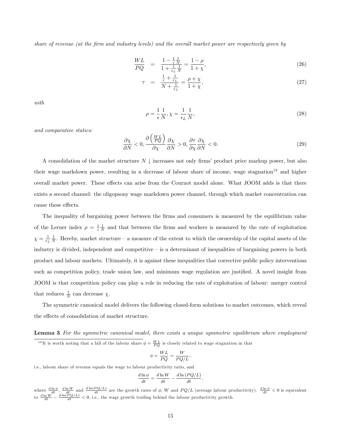share of revenue (at the Örm and industry levels) and the overall market power are respectively given by

$$
\frac{WL}{PQ} = \frac{1 - \frac{1}{\epsilon} \frac{1}{N}}{1 + \frac{1}{\epsilon_L} \frac{1}{N}} = \frac{1 - \rho}{1 + \chi},\tag{26}
$$

$$
\tau = \frac{\frac{1}{\epsilon} + \frac{1}{\epsilon_L}}{N + \frac{1}{\epsilon_L}} = \frac{\rho + \chi}{1 + \chi},\tag{27}
$$

with

$$
\rho = \frac{1}{\epsilon} \frac{1}{N}, \chi = \frac{1}{\epsilon_L} \frac{1}{N},\tag{28}
$$

and comparative statics:

$$
\frac{\partial \chi}{\partial N} < 0, \frac{\partial \left(\frac{WL}{PQ}\right)}{\partial \chi} \frac{\partial \chi}{\partial N} > 0, \frac{\partial \tau}{\partial \chi} \frac{\partial \chi}{\partial N} < 0. \tag{29}
$$

A consolidation of the market structure  $N \downarrow$  increases not only firms' product price markup power, but also their wage markdown power, resulting in a decrease of labour share of income, wage stagnation<sup>18</sup> and higher overall market power. These effects can arise from the Cournot model alone. What JOOM adds is that there exists a second channel: the oligopsony wage markdown power channel, through which market concentration can cause these effects.

The inequality of bargaining power between the firms and consumers is measured by the equilibrium value of the Lerner index  $\rho = \frac{1}{\epsilon} \frac{1}{N}$  and that between the firms and workers is measured by the rate of exploitation  $\chi = \frac{1}{\epsilon_L} \frac{1}{N}$ . Hereby, market structure – a measure of the extent to which the ownership of the capital assets of the industry is divided, independent and competitive  $\overline{\phantom{a}}$  is a determinant of inequalities of bargaining powers in both product and labour markets. Ultimately, it is against these inequalities that corrective public policy interventions such as competition policy, trade union law, and minimum wage regulation are justified. A novel insight from JOOM is that competition policy can play a role in reducing the rate of exploitation of labour: merger control that reduces  $\frac{1}{N}$  can decrease  $\chi$ .

The symmetric canonical model delivers the following closed-form solutions to market outcomes, which reveal the effects of consolidation of market structure.

Lemma 3 For the symmetric canonical model, there exists a unique symmetric equilibrium where employment <sup>18</sup>It is worth noting that a fall of the labour share  $\phi = \frac{WL}{PQ}$  is closely related to wage stagnation in that

$$
\phi = \frac{WL}{PQ} = \frac{W}{PQ/L},
$$

i.e., labour share of revenue equals the wage to labour productivity ratio, and

$$
\frac{d\ln\phi}{dt} = \frac{d\ln W}{dt} - \frac{d\ln\left(PQ/L\right)}{dt},
$$

where  $\frac{d \ln \phi}{dt}$ ,  $\frac{d \ln W}{dt}$  and  $\frac{d \ln(PQ/L)}{dt}$  are the growth rates of  $\phi$ , W and  $PQ/L$  (average labour productivity).  $\frac{d \ln \phi}{dt} < 0$  is equivalent to  $\frac{d \ln W}{dt} - \frac{d \ln (PQ/L)}{dt} < 0$ , i.e., the wage growth trailing behind the labour productivity growth.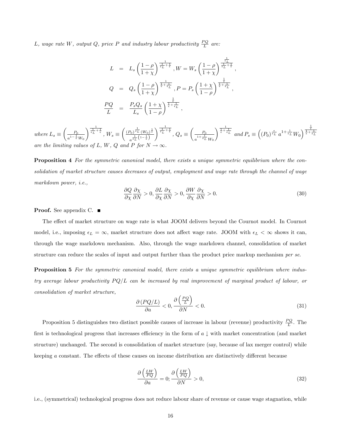L, wage rate W, output Q, price P and industry labour productivity  $\frac{PQ}{L}$  are:

$$
L = L_s \left(\frac{1-\rho}{1+\chi}\right)^{\frac{1}{\epsilon_L} + \frac{1}{\epsilon}}, W = W_s \left(\frac{1-\rho}{1+\chi}\right)^{\frac{1}{\frac{\epsilon_L}{\epsilon_L} + \frac{1}{\epsilon}}},
$$
  
\n
$$
Q = Q_s \left(\frac{1-\rho}{1+\chi}\right)^{\frac{1}{\epsilon} + \frac{1}{\epsilon_L}}, P = P_s \left(\frac{1+\chi}{1-\rho}\right)^{\frac{1}{\frac{\epsilon}{\epsilon} + \frac{1}{\epsilon_L}}},
$$
  
\n
$$
\frac{PQ}{L} = \frac{P_s Q_s}{L_s} \left(\frac{1+\chi}{1-\rho}\right)^{\frac{1}{\frac{\epsilon}{\epsilon} + \frac{1}{\epsilon_L}}},
$$

where  $L_s \equiv$  $\begin{pmatrix} P_0 \end{pmatrix}$  $a^{1-\frac{1}{\epsilon}}W_0$  $\Bigg)^{\frac{1}{\epsilon_L}+\frac{1}{\epsilon}}\,,\,W_s\equiv$  $\left(\frac{1}{(P_0)^{\frac{1}{\epsilon_L}}}(W_0)^{\frac{1}{\epsilon_L}}\right)$  $a^{\frac{1}{\epsilon_L}\left(1-\frac{1}{\epsilon}\right)}$  $\Big)^{\frac{1}{\epsilon_L}+\frac{1}{\epsilon}}$ ,  $Q_s \equiv$  $\begin{pmatrix} P_0 \end{pmatrix}$  $a^{1+\frac{1}{\epsilon_L}}W_0$  $\int^{\frac{1}{\epsilon}+\frac{1}{\epsilon_{L}}} and P_{s}\equiv \left((P_{0})^{\frac{\epsilon}{\epsilon_{L}}} a^{1+\frac{1}{\epsilon_{L}}} W_{0}\right)^{\frac{1}{\frac{1}{\epsilon}+\frac{1}{\epsilon_{L}}}$ are the limiting values of L, W, Q and P for  $N \to \infty$ 

Proposition 4 For the symmetric canonical model, there exists a unique symmetric equilibrium where the consolidation of market structure causes decreases of output, employment and wage rate through the channel of wage markdown power, i.e.,

$$
\frac{\partial Q}{\partial \chi} \frac{\partial \chi}{\partial N} > 0, \frac{\partial L}{\partial \chi} \frac{\partial \chi}{\partial N} > 0, \frac{\partial W}{\partial \chi} \frac{\partial \chi}{\partial N} > 0.
$$
\n(30)

**Proof.** See appendix C. ■

The effect of market structure on wage rate is what JOOM delivers beyond the Cournot model. In Cournot model, i.e., imposing  $\epsilon_L = \infty$ , market structure does not affect wage rate. JOOM with  $\epsilon_L < \infty$  shows it can, through the wage markdown mechanism. Also, through the wage markdown channel, consolidation of market structure can reduce the scales of input and output further than the product price markup mechanism per se.

**Proposition 5** For the symmetric canonical model, there exists a unique symmetric equilibrium where industry average labour productivity  $PQ/L$  can be increased by real improvement of marginal product of labour, or consolidation of market structure,

$$
\frac{\partial (PQ/L)}{\partial a} < 0, \frac{\partial \left(\frac{PQ}{L}\right)}{\partial N} < 0. \tag{31}
$$

Proposition 5 distinguishes two distinct possible causes of increase in labour (revenue) productivity  $\frac{PQ}{L}$ . The first is technological progress that increases efficiency in the form of  $a \downarrow$  with market concentration (and market structure) unchanged. The second is consolidation of market structure (say, because of lax merger control) while keeping a constant. The effects of these causes on income distribution are distinctively different because

$$
\frac{\partial \left(\frac{LW}{PQ}\right)}{\partial a} = 0; \frac{\partial \left(\frac{LW}{PQ}\right)}{\partial N} > 0,
$$
\n(32)

i.e., (symmetrical) technological progress does not reduce labour share of revenue or cause wage stagnation, while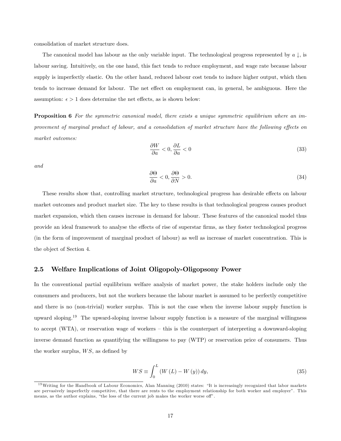consolidation of market structure does.

The canonical model has labour as the only variable input. The technological progress represented by  $a \downarrow$ , is labour saving. Intuitively, on the one hand, this fact tends to reduce employment, and wage rate because labour supply is imperfectly elastic. On the other hand, reduced labour cost tends to induce higher output, which then tends to increase demand for labour. The net effect on employment can, in general, be ambiguous. Here the assumption:  $\epsilon > 1$  does determine the net effects, as is shown below:

**Proposition 6** For the symmetric canonical model, there exists a unique symmetric equilibrium where an improvement of marginal product of labour, and a consolidation of market structure have the following effects on market outcomes:

$$
\frac{\partial W}{\partial a} < 0, \frac{\partial L}{\partial a} < 0 \tag{33}
$$

and

$$
\frac{\partial \Theta}{\partial a} < 0, \frac{\partial \Theta}{\partial N} > 0. \tag{34}
$$

These results show that, controlling market structure, technological progress has desirable effects on labour market outcomes and product market size. The key to these results is that technological progress causes product market expansion, which then causes increase in demand for labour. These features of the canonical model thus provide an ideal framework to analyse the effects of rise of superstar firms, as they foster technological progress (in the form of improvement of marginal product of labour) as well as increase of market concentration. This is the object of Section 4.

#### 2.5 Welfare Implications of Joint Oligopoly-Oligopsony Power

In the conventional partial equilibrium welfare analysis of market power, the stake holders include only the consumers and producers, but not the workers because the labour market is assumed to be perfectly competitive and there is no (non-trivial) worker surplus. This is not the case when the inverse labour supply function is upward sloping.<sup>19</sup> The upward-sloping inverse labour supply function is a measure of the marginal willingness to accept (WTA), or reservation wage of workers  $-$  this is the counterpart of interpreting a downward-sloping inverse demand function as quantifying the willingness to pay (WTP) or reservation price of consumers. Thus the worker surplus,  $WS$ , as defined by

$$
WS \equiv \int_0^L \left( W\left( L\right) - W\left( y\right) \right) dy,\tag{35}
$$

 $19$ Writing for the Handbook of Labour Economics, Alan Manning (2010) states: "It is increasingly recognized that labor markets are pervasively imperfectly competitive, that there are rents to the employment relationship for both worker and employerî. This means, as the author explains, "the loss of the current job makes the worker worse off".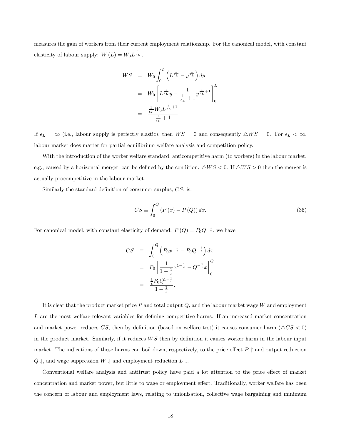measures the gain of workers from their current employment relationship. For the canonical model, with constant elasticity of labour supply:  $W(L) = W_0 L^{\frac{1}{\epsilon_L}}$ ,

$$
WS = W_0 \int_0^L \left( L^{\frac{1}{\epsilon_L}} - y^{\frac{1}{\epsilon_L}} \right) dy
$$
  
=  $W_0 \left[ L^{\frac{1}{\epsilon_L}} y - \frac{1}{\frac{1}{\epsilon_L} + 1} y^{\frac{1}{\epsilon_L} + 1} \right]_0^L$   
=  $\frac{\frac{1}{\epsilon_L} W_0 L^{\frac{1}{\epsilon_L} + 1}}{\frac{1}{\epsilon_L} + 1}.$ 

If  $\epsilon_L = \infty$  (i.e., labour supply is perfectly elastic), then  $WS = 0$  and consequently  $\triangle WS = 0$ . For  $\epsilon_L < \infty$ , labour market does matter for partial equilibrium welfare analysis and competition policy.

With the introduction of the worker welfare standard, anticompetitive harm (to workers) in the labour market, e.g., caused by a horizontal merger, can be defined by the condition:  $\triangle WS < 0$ . If  $\triangle WS > 0$  then the merger is actually procompetitive in the labour market.

Similarly the standard definition of consumer surplus,  $CS$ , is:

$$
CS \equiv \int_{0}^{Q} \left( P\left(x\right) - P\left(Q\right) \right) dx. \tag{36}
$$

For canonical model, with constant elasticity of demand:  $P(Q) = P_0 Q^{-\frac{1}{\epsilon}}$ , we have

$$
CS \equiv \int_0^Q \left( P_0 x^{-\frac{1}{\epsilon}} - P_0 Q^{-\frac{1}{\epsilon}} \right) dx
$$
  
=  $P_0 \left[ \frac{1}{1 - \frac{1}{\epsilon}} x^{1 - \frac{1}{\epsilon}} - Q^{-\frac{1}{\epsilon}} x \right]_0^Q$   
=  $\frac{\frac{1}{\epsilon} P_0 Q^{1 - \frac{1}{\epsilon}}}{1 - \frac{1}{\epsilon}}.$ 

It is clear that the product market price  $P$  and total output  $Q$ , and the labour market wage  $W$  and employment  $L$  are the most welfare-relevant variables for defining competitive harms. If an increased market concentration and market power reduces CS, then by definition (based on welfare test) it causes consumer harm ( $\triangle CS < 0$ ) in the product market. Similarly, if it reduces  $WS$  then by definition it causes worker harm in the labour input market. The indications of these harms can boil down, respectively, to the price effect  $P \uparrow$  and output reduction  $Q \downarrow$ , and wage suppression  $W \downarrow$  and employment reduction  $L \downarrow$ .

Conventional welfare analysis and antitrust policy have paid a lot attention to the price effect of market concentration and market power, but little to wage or employment effect. Traditionally, worker welfare has been the concern of labour and employment laws, relating to unionisation, collective wage bargaining and minimum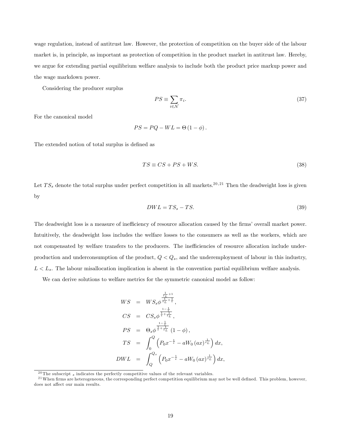wage regulation, instead of antitrust law. However, the protection of competition on the buyer side of the labour market is, in principle, as important as protection of competition in the product market in antitrust law. Hereby, we argue for extending partial equilibrium welfare analysis to include both the product price markup power and the wage markdown power.

Considering the producer surplus

$$
PS \equiv \sum_{i \in \mathcal{N}} \pi_i. \tag{37}
$$

For the canonical model

$$
PS = PQ - WL = \Theta(1 - \phi).
$$

The extended notion of total surplus is defined as

$$
TS \equiv CS + PS + WS. \tag{38}
$$

Let  $TS_s$  denote the total surplus under perfect competition in all markets.<sup>20,21</sup> Then the deadweight loss is given by

$$
DWL = TS_s - TS.
$$
\n(39)

The deadweight loss is a measure of inefficiency of resource allocation caused by the firms' overall market power. Intuitively, the deadweight loss includes the welfare losses to the consumers as well as the workers, which are not compensated by welfare transfers to the producers. The inefficiencies of resource allocation include underproduction and underconsumption of the product,  $Q < Q_s$ , and the underemployment of labour in this industry,  $L < L<sub>s</sub>$ . The labour misallocation implication is absent in the convention partial equilibrium welfare analysis.

We can derive solutions to welfare metrics for the symmetric canonical model as follow:

$$
WS = WS_s \phi^{\frac{\frac{1}{\epsilon_L} + 1}{\epsilon_L} },
$$
  
\n
$$
CS = CS_s \phi^{\frac{1 - \frac{1}{\epsilon}}{\frac{1 - \frac{1}{\epsilon}}{\epsilon_L}}},
$$
  
\n
$$
PS = \Theta_s \phi^{\frac{1 - \frac{1}{\epsilon}}{\frac{1 - \frac{1}{\epsilon}}{\epsilon_L}}} (1 - \phi),
$$
  
\n
$$
TS = \int_0^Q \left( P_0 x^{-\frac{1}{\epsilon}} - aW_0 (ax)^{\frac{1}{\epsilon_L}} \right) dx,
$$
  
\n
$$
DWL = \int_Q^{Q_s} \left( P_0 x^{-\frac{1}{\epsilon}} - aW_0 (ax)^{\frac{1}{\epsilon_L}} \right) dx,
$$

 $^{20}$ The subscript  $_s$  indicates the perfectly competitive values of the relevant variables.

 $^{21}$ When firms are heterogeneous, the corresponding perfect competition equilibrium may not be well defined. This problem, however, does not affect our main results.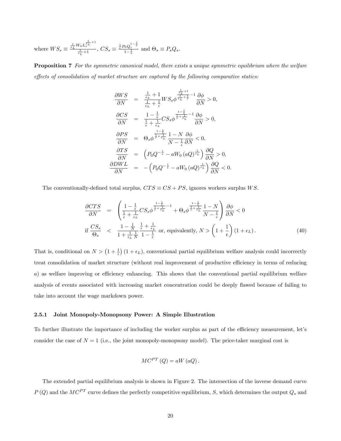where  $WS_s \equiv \frac{\frac{1}{\epsilon_L}W_0L_s^{\frac{1}{\epsilon_L}+1}}{\frac{1}{\epsilon_L}+1}$ ,  $CS_s \equiv \frac{\frac{1}{\epsilon}P_0Q_s^{1-\frac{1}{\epsilon}}}{1-\frac{1}{\epsilon}}$  and  $\Theta_s \equiv P_sQ_s$ .

**Proposition 7** For the symmetric canonical model, there exists a unique symmetric equilibrium where the welfare  $e$ ffects of consolidation of market structure are captured by the following comparative statics:

$$
\frac{\partial WS}{\partial N} = \frac{\frac{1}{\epsilon_L} + 1}{\frac{1}{\epsilon_L} + \frac{1}{\epsilon}} WS_s \phi^{\frac{\frac{1}{\epsilon_L} + 1}{\epsilon_L} - 1} \frac{\partial \phi}{\partial N} > 0,
$$
  

$$
\frac{\partial CS}{\partial N} = \frac{1 - \frac{1}{\epsilon}}{\frac{1}{\epsilon} + \frac{1}{\epsilon_L}} CS_s \phi^{\frac{1 - \frac{1}{\epsilon}}{\frac{1}{\epsilon} + \frac{1}{\epsilon_L}} - 1} \frac{\partial \phi}{\partial N} > 0,
$$
  

$$
\frac{\partial PS}{\partial N} = \Theta_s \phi^{\frac{1 - \frac{1}{\epsilon}}{\frac{1}{\epsilon} + \frac{1}{\epsilon_L}} \frac{1 - N}{N - \frac{1}{\epsilon}} \frac{\partial \phi}{\partial N} < 0,
$$
  

$$
\frac{\partial TS}{\partial N} = \left( P_0 Q^{-\frac{1}{\epsilon}} - aW_0 (aQ)^{\frac{1}{\epsilon_L}} \right) \frac{\partial Q}{\partial N} > 0,
$$
  

$$
\frac{\partial DWL}{\partial N} = - \left( P_0 Q^{-\frac{1}{\epsilon}} - aW_0 (aQ)^{\frac{1}{\epsilon_L}} \right) \frac{\partial Q}{\partial N} <
$$

The conventionally-defined total surplus,  $CTS\equiv CS+PS,$  ignores workers surplus  $WS.$ 

$$
\frac{\partial CTS}{\partial N} = \left( \frac{1 - \frac{1}{\epsilon}}{\frac{1}{\epsilon} + \frac{1}{\epsilon_L}} CS_s \phi^{\frac{1 - \frac{1}{\epsilon}}{\frac{1}{\epsilon} + \frac{1}{\epsilon_L}} - 1} + \Theta_s \phi^{\frac{1 - \frac{1}{\epsilon}}{\frac{1}{\epsilon} + \frac{1}{\epsilon_L}}} \frac{1 - N}{N - \frac{1}{\epsilon}} \right) \frac{\partial \phi}{\partial N} < 0
$$
\nif  $\frac{CS_s}{\Theta_s} < \frac{1 - \frac{1}{N}}{1 + \frac{1}{\epsilon_L} \frac{1}{N}} \frac{\frac{1}{\epsilon} + \frac{1}{\epsilon_L}}{1 - \frac{1}{\epsilon}}$  or, equivalently,  $N > \left( 1 + \frac{1}{\epsilon} \right) (1 + \epsilon_L).$ 

\n(40)

 $0.$ 

That is, conditional on  $N > (1 + \frac{1}{\epsilon}) (1 + \epsilon_L)$ , conventional partial equilibrium welfare analysis could incorrectly treat consolidation of market structure (without real improvement of productive efficiency in terms of reducing  $a)$  as welfare improving or efficiency enhancing. This shows that the conventional partial equilibrium welfare analysis of events associated with increasing market concentration could be deeply flawed because of failing to take into account the wage markdown power.

#### 2.5.1 Joint Monopoly-Monopsony Power: A Simple Illustration

To further illustrate the importance of including the worker surplus as part of the efficiency measurement, let's consider the case of  $N = 1$  (i.e., the joint monopoly-monopsony model). The price-taker marginal cost is

$$
MC^{PT}(Q) = aW(aQ).
$$

The extended partial equilibrium analysis is shown in Figure 2. The intersection of the inverse demand curve  $P(Q)$  and the  $MC^{PT}$  curve defines the perfectly competitive equilibrium, S, which determines the output  $Q_s$  and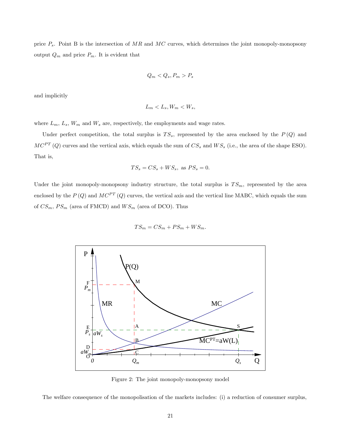price  $P_s$ . Point B is the intersection of MR and MC curves, which determines the joint monopoly-monopsony output  $Q_m$  and price  $P_m$ . It is evident that

$$
Q_m < Q_s, P_m > P_s
$$

and implicitly

$$
L_m < L_s, W_m < W_s,
$$

where  $L_m$ ,  $L_s$ ,  $W_m$  and  $W_s$  are, respectively, the employments and wage rates.

Under perfect competition, the total surplus is  $TS_s$ , represented by the area enclosed by the  $P(Q)$  and  $MC^{PT}(Q)$  curves and the vertical axis, which equals the sum of  $CS_s$  and  $WS_s$  (i.e., the area of the shape ESO). That is,

$$
TS_s = CS_s + WS_s, \text{ as } PS_s = 0.
$$

Under the joint monopoly-monopsony industry structure, the total surplus is  $TS_m$ , represented by the area enclosed by the  $P(Q)$  and  $MC^{PT}(Q)$  curves, the vertical axis and the vertical line MABC, which equals the sum of  $CS_m$ ,  $PS_m$  (area of FMCD) and  $WS_m$  (area of DCO). Thus

$$
TS_m = CS_m + PS_m + WS_m.
$$



Figure 2: The joint monopoly-monopsony model

The welfare consequence of the monopolisation of the markets includes: (i) a reduction of consumer surplus,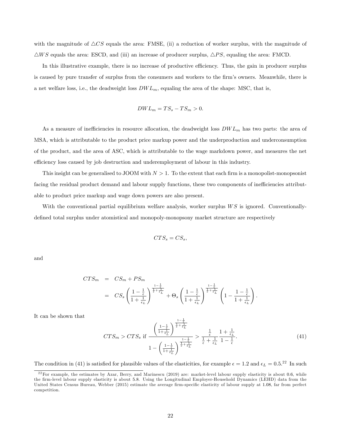with the magnitude of  $\triangle CS$  equals the area: FMSE, (ii) a reduction of worker surplus, with the magnitude of  $\triangle WS$  equals the area: ESCD, and (iii) an increase of producer surplus,  $\triangle PS$ , equaling the area: FMCD.

In this illustrative example, there is no increase of productive efficiency. Thus, the gain in producer surplus is caused by pure transfer of surplus from the consumers and workers to the firm's owners. Meanwhile, there is a net welfare loss, i.e., the deadweight loss  $DWL_m$ , equaling the area of the shape: MSC, that is,

$$
DWL_m = TS_s - TS_m > 0.
$$

As a measure of inefficiencies in resource allocation, the deadweight loss  $DWL_m$  has two parts: the area of MSA, which is attributable to the product price markup power and the underproduction and underconsumption of the product, and the area of ASC, which is attributable to the wage markdown power, and measures the net efficiency loss caused by job destruction and underemployment of labour in this industry.

This insight can be generalised to JOOM with  $N > 1$ . To the extent that each firm is a monopolist-monopsonist facing the residual product demand and labour supply functions, these two components of inefficiencies attributable to product price markup and wage down powers are also present.

With the conventional partial equilibrium welfare analysis, worker surplus  $WS$  is ignored. Conventionallydefined total surplus under atomistical and monopoly-monopsony market structure are respectively

$$
CTS_s = CS_s,
$$

and

$$
CTS_m = CS_m + PS_m
$$
  
=  $CS_s \left(\frac{1-\frac{1}{\epsilon}}{1+\frac{1}{\epsilon_L}}\right)^{\frac{1-\frac{1}{\epsilon}}{\frac{1}{\epsilon}+\frac{1}{\epsilon_L}}} + \Theta_s \left(\frac{1-\frac{1}{\epsilon}}{1+\frac{1}{\epsilon_L}}\right)^{\frac{1-\frac{1}{\epsilon}}{\frac{1}{\epsilon}+\frac{1}{\epsilon_L}}} \left(1-\frac{1-\frac{1}{\epsilon}}{1+\frac{1}{\epsilon_L}}\right).$ 

 $\sqrt{1}$ 

It can be shown that

$$
CTS_{m} > CTS_{s} \text{ if } \frac{\left(\frac{1-\frac{1}{\epsilon}}{1+\frac{1}{\epsilon_{L}}}\right)^{\frac{1-\frac{1}{\epsilon}}{\frac{1}{\epsilon}+\frac{1}{\epsilon_{L}}}}}{1-\left(\frac{1-\frac{1}{\epsilon}}{1+\frac{1}{\epsilon_{L}}}\right)^{\frac{1-\frac{1}{\epsilon}}{\frac{1}{\epsilon}+\frac{1}{\epsilon_{L}}}} > \frac{\frac{1}{\epsilon}}{\frac{1}{\epsilon}+\frac{1}{\epsilon_{L}}} \frac{1+\frac{1}{\epsilon_{L}}}{1-\frac{1}{\epsilon}}.
$$
\n
$$
(41)
$$

The condition in (41) is satisfied for plausible values of the elasticities, for example  $\epsilon = 1.2$  and  $\epsilon_L = 0.5$ .<sup>22</sup> In such

 $22$ For example, the estimates by Azar, Berry, and Marinescu (2019) are: market-level labour supply elasticity is about 0.6, while the Örm-level labour supply elasticity is about 5:8. Using the Longitudinal Employer-Household Dynamics (LEHD) data from the United States Census Bureau, Webber (2015) estimate the average firm-specific elasticity of labour supply at 1.08, far from perfect competition.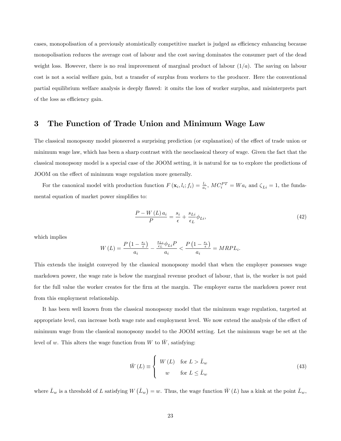cases, monopolisation of a previously atomistically competitive market is judged as efficiency enhancing because monopolisation reduces the average cost of labour and the cost saving dominates the consumer part of the dead weight loss. However, there is no real improvement of marginal product of labour  $(1/a)$ . The saving on labour cost is not a social welfare gain, but a transfer of surplus from workers to the producer. Here the conventional partial equilibrium welfare analysis is deeply flawed: it omits the loss of worker surplus, and misinterprets part of the loss as efficiency gain.

## 3 The Function of Trade Union and Minimum Wage Law

The classical monopsony model pioneered a surprising prediction (or explanation) of the effect of trade union or minimum wage law, which has been a sharp contrast with the neoclassical theory of wage. Given the fact that the classical monopsony model is a special case of the JOOM setting, it is natural for us to explore the predictions of JOOM on the effect of minimum wage regulation more generally.

For the canonical model with production function  $F(\mathbf{x}_i, l_i; f_i) = \frac{l_i}{a_i}$ ,  $MC_i^{PT} = Wa_i$  and  $\zeta_{Li} = 1$ , the fundamental equation of market power simplifies to:

$$
\frac{P - W(L) a_i}{P} = \frac{s_i}{\epsilon} + \frac{s_{Li}}{\epsilon_L} \phi_{Li},\tag{42}
$$

which implies

$$
W\left(L\right) = \frac{P\left(1 - \frac{s_i}{\epsilon}\right)}{a_i} - \frac{\frac{s_{Li}}{\epsilon_L}\phi_{Li}P}{a_i} < \frac{P\left(1 - \frac{s_i}{\epsilon}\right)}{a_i} = MRPL_i.
$$

This extends the insight conveyed by the classical monopsony model that when the employer possesses wage markdown power, the wage rate is below the marginal revenue product of labour, that is, the worker is not paid for the full value the worker creates for the firm at the margin. The employer earns the markdown power rent from this employment relationship.

It has been well known from the classical monopsony model that the minimum wage regulation, targeted at appropriate level, can increase both wage rate and employment level. We now extend the analysis of the effect of minimum wage from the classical monopsony model to the JOOM setting. Let the minimum wage be set at the level of w. This alters the wage function from W to  $\bar{W}$ , satisfying:

$$
\bar{W}(L) \equiv \begin{cases} W(L) & \text{for } L > \bar{L}_w \\ w & \text{for } L \le \bar{L}_w \end{cases}
$$
\n(43)

where  $\bar{L}_w$  is a threshold of L satisfying  $W(\bar{L}_w) = w$ . Thus, the wage function  $\bar{W}(L)$  has a kink at the point  $\bar{L}_w$ ,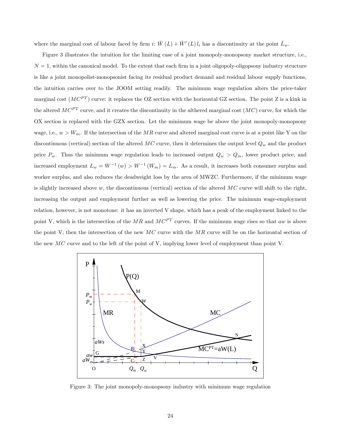where the marginal cost of labour faced by firm i:  $\overline{W}(L) + \overline{W}'(L) l_i$  has a discontinuity at the point  $\overline{L}_w$ .

Figure 3 illustrates the intuition for the limiting case of a joint monopoly-monopsony market structure, i.e.,  $N = 1$ , within the canonical model. To the extent that each firm in a joint oligopoly-oligopsony industry structure is like a joint monopolist-monopsonist facing its residual product demand and residual labour supply functions, the intuition carries over to the JOOM setting readily. The minimum wage regulation alters the price-taker marginal cost  $(MC^{PT})$  curve: it replaces the OZ section with the horizontal GZ section. The point Z is a kink in the altered  $MC^{PT}$  curve, and it creates the discontinuity in the althered marginal cost  $(MC)$  curve, for which the OX section is replaced with the GZX section. Let the minimum wage be above the joint monopoly-monopsony wage, i.e.,  $w > W_m$ . If the intersection of the MR curve and altered marginal cost curve is at a point like Y on the discontinuous (vertical) section of the altered  $MC$  curve, then it determines the output level  $Q_w$  and the product price  $P_w$ . Thus the minimum wage regulation leads to increased output  $Q_w > Q_m$ , lower product price, and increased employment  $L_w = W^{-1}(w) > W^{-1}(W_m) = L_m$ . As a result, it increases both consumer surplus and worker surplus, and also reduces the deadweight loss by the area of MWZC. Furthermore, if the minimum wage is slightly increased above w, the discontinuous (vertical) section of the altered  $MC$  curve will shift to the right, increasing the output and employment further as well as lowering the price. The minimum wage-employment relation, however, is not monotone: it has an inverted V shape, which has a peak of the employment linked to the point V, which is the intersection of the MR and  $MC^{PT}$  curves. If the minimum wage rises so that aw is above the point V, then the intersection of the new  $MC$  curve with the  $MR$  curve will be on the horizontal section of the new  $MC$  curve and to the left of the point of V, implying lower level of employment than point V.



Figure 3: The joint monopoly-monopsony industry with minimum wage regulation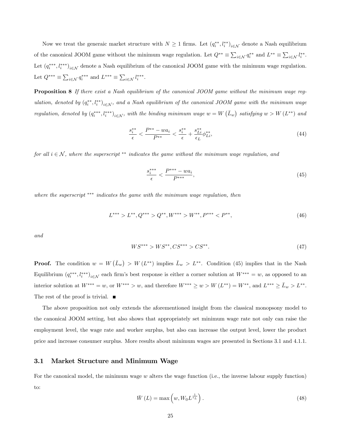Now we treat the generaic market structure with  $N \ge 1$  firms. Let  $(q_i^{**}, l_i^{**})_{i \in \mathcal{N}}$  denote a Nash equilibrium of the canonical JOOM game without the minimum wage regulation. Let  $Q^{**} \equiv \sum_{i \in \mathcal{N}} q_i^{**}$  and  $L^{**} \equiv \sum_{i \in \mathcal{N}} l_i^{**}$ . Let  $(q_i^{***}, l_i^{***})_{i \in \mathcal{N}}$  denote a Nash equilibrium of the canonical JOOM game with the minimum wage regulation. Let  $Q^{***} \equiv \sum_{i \in \mathcal{N}} q_i^{***}$  and  $L^{***} \equiv \sum_{i \in \mathcal{N}} l_i^{***}$ .

Proposition 8 If there exist a Nash equilibrium of the canonical JOOM game without the minimum wage regulation, denoted by  $(q_i^{**},l_i^{**})_{i\in\mathcal{N}}$ , and a Nash equilibrium of the canonical JOOM game with the minimum wage regulation, denoted by  $(q_i^{***},l_i^{**})_{i\in\mathcal{N}}$ , with the binding minimum wage  $w=W(\bar{L}_w)$  satisfying  $w>W(L^{**})$  and

$$
\frac{s_i^{**}}{\epsilon} < \frac{P^{**} - w a_i}{P^{**}} < \frac{s_i^{**}}{\epsilon} + \frac{s_{Li}^{**}}{\epsilon_L} \phi_{Li}^{**},\tag{44}
$$

for all  $i \in \mathcal{N}$ , where the superscript  $\ast\ast$  indicates the game without the minimum wage regulation, and

$$
\frac{s_i^{***}}{\epsilon} < \frac{P^{***} - w a_i}{P^{***}},\tag{45}
$$

where the superscript  $***$  indicates the game with the minimum wage regulation, then

$$
L^{***} > L^{**}, Q^{***} > Q^{**}, W^{***} > W^{**}, P^{***} < P^{**},
$$
\n
$$
(46)
$$

and

$$
WS^{***} > WS^{**}, CS^{***} > CS^{**}.
$$
\n
$$
(47)
$$

**Proof.** The condition  $w = W(\bar{L}_w) > W(L^{**})$  implies  $\bar{L}_w > L^{**}$ . Condition (45) implies that in the Nash Equilibrium  $(q_i^{***}, l_i^{***})_{i\in\mathcal{N}}$  each firm's best response is either a corner solution at  $W^{***} = w$ , as opposed to an interior solution at  $W^{***} = w$ , or  $W^{***} > w$ , and therefore  $W^{***} \geq w > W(L^{**}) = W^{**}$ , and  $L^{***} \geq \bar{L}_w > L^{**}$ . The rest of the proof is trivial.  $\blacksquare$ 

The above proposition not only extends the aforementioned insight from the classical monopsony model to the canonical JOOM setting, but also shows that appropriately set minimum wage rate not only can raise the employment level, the wage rate and worker surplus, but also can increase the output level, lower the product price and increase consumer surplus. More results about minimum wages are presented in Sections 3.1 and 4.1.1.

#### 3.1 Market Structure and Minimum Wage

For the canonical model, the minimum wage  $w$  alters the wage function (i.e., the inverse labour supply function) to:

$$
\bar{W}(L) = \max\left(w, W_0 L^{\frac{1}{\epsilon_L}}\right). \tag{48}
$$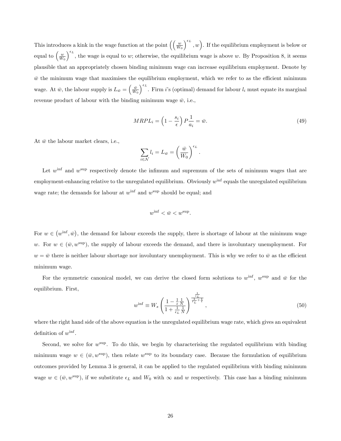This introduces a kink in the wage function at the point  $\left(\left(\frac{w}{W_0}\right)^{w}\right)$  $\int_{0}^{\epsilon_L}$ , w). If the equilibrium employment is below or equal to  $\left(\frac{w}{W_0}\right)$  $\int_{0}^{\epsilon_L}$ , the wage is equal to w; otherwise, the equilibrium wage is above w. By Proposition 8, it seems plausible that an appropriately chosen binding minimum wage can increase equilibrium employment. Denote by  $\bar{w}$  the minimum wage that maximises the equilibrium employment, which we refer to as the efficient minimum wage. At  $\bar{w}$ , the labour supply is  $L_{\bar{w}} = \left(\frac{\bar{w}}{W_0}\right)$  $\int_{0}^{\epsilon_L}$ . Firm i's (optimal) demand for labour  $l_i$  must equate its marginal revenue product of labour with the binding minimum wage  $\bar{w}$ , i.e.,

$$
MRPL_i = \left(1 - \frac{s_i}{\epsilon}\right) P \frac{1}{a_i} = \bar{w}.\tag{49}
$$

At  $\bar{w}$  the labour market clears, i.e.,

$$
\sum_{i \in \mathcal{N}} l_i = L_{\bar{w}} = \left(\frac{\bar{w}}{W_0}\right)^{\epsilon_L}.
$$

Let  $w^{\text{inf}}$  and  $w^{\text{sup}}$  respectively denote the infimum and supremum of the sets of minimum wages that are  $emplyment-enhancing relative to the unregulated equilibrium. Obviously  $w^{\text{inf}}$  equals the unregulated equilibrium$ wage rate; the demands for labour at  $w^{\text{inf}}$  and  $w^{\text{sup}}$  should be equal; and

$$
w^{\inf} < \bar{w} < w^{\sup}.
$$

For  $w \in (w^{\text{inf}}, \bar{w})$ , the demand for labour exceeds the supply, there is shortage of labour at the minimum wage w. For  $w \in (\bar{w}, w^{\text{sup}})$ , the supply of labour exceeds the demand, and there is involuntary unemployment. For  $w = \bar{w}$  there is neither labour shortage nor involuntary unemployment. This is why we refer to  $\bar{w}$  as the efficient minimum wage.

For the symmetric canonical model, we can derive the closed form solutions to  $w^{\text{inf}}$ ,  $w^{\text{sup}}$  and  $\bar{w}$  for the equilibrium. First,

$$
w^{\inf} \equiv W_s \left( \frac{1 - \frac{1}{\epsilon} \frac{1}{N}}{1 + \frac{1}{\epsilon_L} \frac{1}{N}} \right)^{\frac{1}{\epsilon_L} + \frac{1}{\epsilon}},\tag{50}
$$

where the right hand side of the above equation is the unregulated equilibrium wage rate, which gives an equivalent definition of  $w^{\text{inf}}$ .

Second, we solve for  $w^{\text{sup}}$ . To do this, we begin by characterising the regulated equilibrium with binding minimum wage  $w \in (\bar{w}, w^{\text{sup}})$ , then relate  $w^{\text{sup}}$  to its boundary case. Because the formulation of equilibrium outcomes provided by Lemma 3 is general, it can be applied to the regulated equilibrium with binding minimum wage  $w \in (\bar{w}, w^{\text{sup}})$ , if we substitute  $\epsilon_L$  and  $W_0$  with  $\infty$  and w respectively. This case has a binding minimum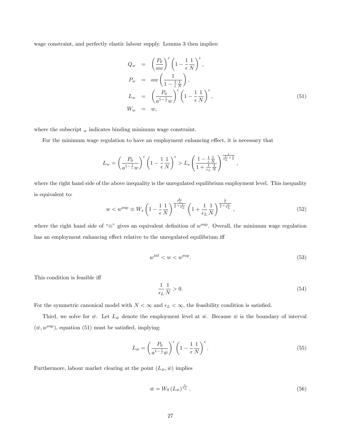wage constraint, and perfectly elastic labour supply. Lemma 3 then implies:

$$
Q_w = \left(\frac{P_0}{aw}\right)^{\epsilon} \left(1 - \frac{1}{\epsilon} \frac{1}{N}\right)^{\epsilon},
$$
  
\n
$$
P_w = aw \left(\frac{1}{1 - \frac{1}{\epsilon} \frac{1}{N}}\right),
$$
  
\n
$$
L_w = \left(\frac{P_0}{a^{1 - \frac{1}{\epsilon}w}}\right)^{\epsilon} \left(1 - \frac{1}{\epsilon} \frac{1}{N}\right)^{\epsilon},
$$
  
\n
$$
W_w = w,
$$
\n(51)

where the subscript  $_{w}$  indicates binding minimum wage constraint.

For the minimum wage regulation to have an employment enhancing effect, it is necessary that

$$
L_w = \left(\frac{P_0}{a^{1-\frac{1}{\epsilon}}w}\right)^{\epsilon} \left(1 - \frac{1}{\epsilon} \frac{1}{N}\right)^{\epsilon} > L_s \left(\frac{1 - \frac{1}{\epsilon} \frac{1}{N}}{1 + \frac{1}{\epsilon_L} \frac{1}{N}}\right)^{\frac{1}{\epsilon_L} + \frac{1}{\epsilon}},
$$

where the right hand side of the above inequality is the unregulated equilibrium employment level. This inequality is equivalent to:

$$
w < w^{\text{sup}} \equiv W_s \left( 1 - \frac{1}{\epsilon} \frac{1}{N} \right)^{\frac{1}{\frac{1}{\epsilon} + \frac{1}{\epsilon_L}}} \left( 1 + \frac{1}{\epsilon_L} \frac{1}{N} \right)^{\frac{1}{\frac{1}{\epsilon} + \frac{1}{\epsilon_L}}},\tag{52}
$$

where the right hand side of " $\equiv$ " gives an equivalent definition of  $w^{\sup}$ . Overall, the minimum wage regulation has an employment enhancing effect relative to the unregulated equilibrium iff

$$
w^{\inf} < w < w^{\sup}.\tag{53}
$$

This condition is feasible iff

$$
\frac{1}{\epsilon_L} \frac{1}{N} > 0. \tag{54}
$$

For the symmetric canonical model with  $N < \infty$  and  $\epsilon_L < \infty$ , the feasibility condition is satisfied.

Third, we solve for  $\bar{w}$ . Let  $L_{\bar{w}}$  denote the employment level at  $\bar{w}$ . Because  $\bar{w}$  is the boundary of interval  $(\bar{w}, w^{\text{sup}})$ , equation (51) must be satisfied, implying:

$$
L_{\bar{w}} = \left(\frac{P_0}{a^{1-\frac{1}{\epsilon}}\bar{w}}\right)^{\epsilon} \left(1 - \frac{1}{\epsilon}\frac{1}{N}\right)^{\epsilon}.
$$
\n(55)

Furthermore, labour market clearing at the point  $(L_{\bar{w}}, \bar{w})$  implies

$$
\bar{w} = W_0 \left( L_{\bar{w}} \right)^{\frac{1}{\epsilon_L}}.
$$
\n
$$
(56)
$$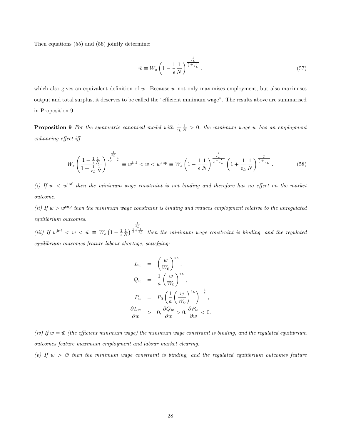Then equations (55) and (56) jointly determine:

$$
\bar{w} \equiv W_s \left( 1 - \frac{1}{\epsilon} \frac{1}{N} \right)^{\frac{1}{\frac{1}{\epsilon} + \frac{1}{\epsilon_L}}} \,,\tag{57}
$$

which also gives an equivalent definition of  $\bar{w}$ . Because  $\bar{w}$  not only maximises employment, but also maximises output and total surplus, it deserves to be called the "efficient minimum wage". The results above are summarised in Proposition 9.

**Proposition 9** For the symmetric canonical model with  $\frac{1}{\epsilon_L} \frac{1}{N} > 0$ , the minimum wage w has an employment  $enhancing$  effect iff

$$
W_s \left(\frac{1 - \frac{1}{\epsilon} \frac{1}{N}}{1 + \frac{1}{\epsilon_L} \frac{1}{N}}\right)^{\frac{1}{\epsilon_L} + \frac{1}{\epsilon}} \equiv w^{\inf} < w < w^{\sup} \equiv W_s \left(1 - \frac{1}{\epsilon} \frac{1}{N}\right)^{\frac{1}{\epsilon} + \frac{1}{\epsilon_L}} \left(1 + \frac{1}{\epsilon_L} \frac{1}{N}\right)^{\frac{1}{\epsilon} + \frac{1}{\epsilon_L}}.
$$
\n
$$
\tag{58}
$$

(i) If  $w < w^{\text{inf}}$  then the minimum wage constraint is not binding and therefore has no effect on the market outcome.

(ii) If  $w > w^{\text{sup}}$  then the minimum wage constraint is binding and reduces employment relative to the unregulated equilibrium outcomes.

(iii) If  $w^{\text{inf}} < w < \bar{w} \equiv W_s \left(1 - \frac{1}{\epsilon} \frac{1}{N}\right)$  $\frac{\frac{1}{\epsilon_L}}{\frac{1}{\epsilon}+\frac{1}{\epsilon_L}}$  then the minimum wage constraint is binding, and the regulated equilibrium outcomes feature labour shortage, satisfying:

$$
L_w = \left(\frac{w}{W_0}\right)^{\epsilon_L},
$$
  
\n
$$
Q_w = \frac{1}{a} \left(\frac{w}{W_0}\right)^{\epsilon_L},
$$
  
\n
$$
P_w = P_0 \left(\frac{1}{a} \left(\frac{w}{W_0}\right)^{\epsilon_L}\right)^{-\frac{1}{\epsilon}},
$$
  
\n
$$
\frac{\partial L_w}{\partial w} > 0, \frac{\partial Q_w}{\partial w} > 0, \frac{\partial P_w}{\partial w} < 0.
$$

(iv) If  $w = \bar{w}$  (the efficient minimum wage) the minimum wage constraint is binding, and the regulated equilibrium outcomes feature maximum employment and labour market clearing.

(v) If  $w > \bar{w}$  then the minimum wage constraint is binding, and the regulated equilibrium outcomes feature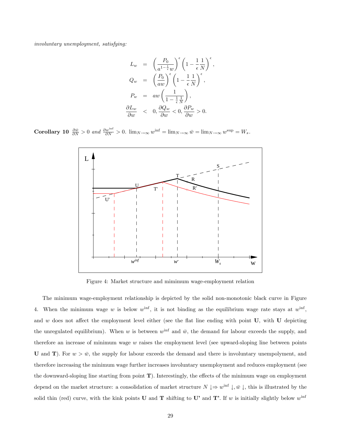involuntary unemployment, satisfying:

$$
L_w = \left(\frac{P_0}{a^{1-\frac{1}{\epsilon}}w}\right)^{\epsilon} \left(1 - \frac{1}{\epsilon} \frac{1}{N}\right)^{\epsilon},
$$
  
\n
$$
Q_w = \left(\frac{P_0}{aw}\right)^{\epsilon} \left(1 - \frac{1}{\epsilon} \frac{1}{N}\right)^{\epsilon},
$$
  
\n
$$
P_w = aw \left(\frac{1}{1 - \frac{1}{\epsilon} \frac{1}{N}}\right),
$$
  
\n
$$
\frac{\partial L_w}{\partial w} < 0, \frac{\partial Q_w}{\partial w} < 0, \frac{\partial P_w}{\partial w} > 0.
$$

**Corollary 10**  $\frac{\partial \bar{w}}{\partial N} > 0$  and  $\frac{\partial w^{\text{inf}}}{\partial N} > 0$ .  $\lim_{N \to \infty} w^{\text{inf}} = \lim_{N \to \infty} \bar{w} = \lim_{N \to \infty} w^{\text{sup}} = W_s$ .



Figure 4: Market structure and mimimum wage-employment relation

The minimum wage-employment relationship is depicted by the solid non-monotonic black curve in Figure 4. When the minimum wage w is below  $w^{\text{inf}}$ , it is not binding as the equilibrium wage rate stays at  $w^{\text{inf}}$ , and w does not affect the employment level either (see the flat line ending with point  $U$ , with  $U$  depicting the unregulated equilibrium). When w is between  $w^{\text{inf}}$  and  $\bar{w}$ , the demand for labour exceeds the supply, and therefore an increase of minimum wage  $w$  raises the employment level (see upward-sloping line between points U and T). For  $w > \bar{w}$ , the supply for labour exceeds the demand and there is involuntary unempolyment, and therefore increasing the minimum wage further increases involuntary unemployment and reduces employment (see the downward-sloping line starting from point  $T$ ). Interestingly, the effects of the minimum wage on employment depend on the market structure: a consolidation of market structure  $N \downarrow \Rightarrow w^{\text{inf}} \downarrow, \bar{w} \downarrow$ , this is illustrated by the solid thin (red) curve, with the kink points **U** and **T** shifting to **U'** and **T'**. If w is initially slightly below w<sup>inf</sup>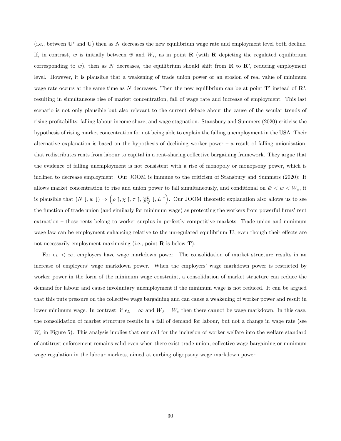(i.e., between  $\mathbf{U}'$  and  $\mathbf{U}$ ) then as N decreases the new equilibrium wage rate and employment level both decline. If, in contrast, w is initially between  $\bar{w}$  and  $W_s$ , as in point **R** (with **R** depicting the regulated equilibrium corresponding to w), then as N decreases, the equilibrium should shift from  $\bf R$  to  $\bf R'$ , reducing employment level. However, it is plausible that a weakening of trade union power or an erosion of real value of minimum wage rate occurs at the same time as N decreases. Then the new equilibrium can be at point  $T'$  instead of  $\mathbb{R}^3$ , resulting in simultaneous rise of market concentration, fall of wage rate and increase of employment. This last scenario is not only plausible but also relevant to the current debate about the cause of the secular trends of rising profitability, falling labour income share, and wage stagnation. Stansbury and Summers (2020) criticise the hypothesis of rising market concentration for not being able to explain the falling unemployment in the USA. Their alternative explanation is based on the hypothesis of declining worker power  $-$  a result of falling unionisation, that redistributes rents from labour to capital in a rent-sharing collective bargaining framework. They argue that the evidence of falling unemployment is not consistent with a rise of monopoly or monopsony power, which is inclined to decrease employment. Our JOOM is immune to the criticism of Stansbury and Summers (2020): It allows market concentration to rise and union power to fall simultaneously, and conditional on  $\bar{w} < w < W_s$ , it is plausible that  $(N \downarrow, w \downarrow) \Rightarrow (\rho \uparrow, \chi \uparrow, \tau \uparrow, \frac{wL}{PQ} \downarrow, L \uparrow)$ . Our JOOM theoretic explanation also allows us to see the function of trade union (and similarly for minimum wage) as protecting the workers from powerful firms' rent extraction – those rents belong to worker surplus in perfectly competitive markets. Trade union and minimum wage law can be employment enhancing relative to the unregulated equilibrium  $U$ , even though their effects are not necessarily employment maximising (i.e., point  $\bf{R}$  is below  $\bf{T}$ ).

For  $\epsilon_L < \infty$ , employers have wage markdown power. The consolidation of market structure results in an increase of employers' wage markdown power. When the employers' wage markdown power is restricted by worker power in the form of the minimum wage constraint, a consolidation of market structure can reduce the demand for labour and cause involuntary unemployment if the minimum wage is not reduced. It can be argued that this puts pressure on the collective wage bargaining and can cause a weakening of worker power and result in lower minimum wage. In contrast, if  $\epsilon_L = \infty$  and  $W_0 = W_s$  then there cannot be wage markdown. In this case, the consolidation of market structure results in a fall of demand for labour, but not a change in wage rate (see  $W_s$  in Figure 5). This analysis implies that our call for the inclusion of worker welfare into the welfare standard of antitrust enforcement remains valid even when there exist trade union, collective wage bargaining or minimum wage regulation in the labour markets, aimed at curbing oligopsony wage markdown power.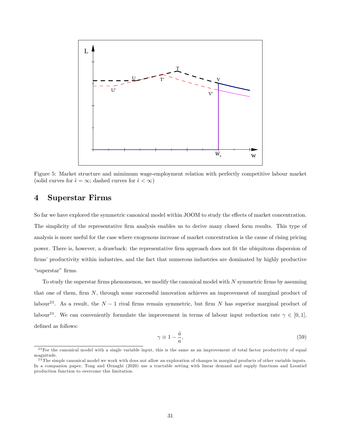

Figure 5: Market structure and mimimum wage-employment relation with perfectly competitive labour market (solid curves for  $\tilde{\epsilon} = \infty$ ; dashed curves for  $\tilde{\epsilon} < \infty$ )

## 4 Superstar Firms

So far we have explored the symmetric canonical model within JOOM to study the effects of market concentration. The simplicity of the representative Örm analysis enables us to derive many closed form results. This type of analysis is more useful for the case where exogenous increase of market concentration is the cause of rising pricing power. There is, however, a drawback: the representative Örm approach does not Öt the ubiquitous dispersion of firms' productivity within industries, and the fact that numerous industries are dominated by highly productive "superstar" firms.

To study the superstar firms phenomenon, we modify the canonical model with  $N$  symmetric firms by assuming that one of them, firm  $N$ , through some successful innovation achieves an improvement of marginal product of labour<sup>23</sup>. As a result, the  $N-1$  rival firms remain symmetric, but firm N has superior marginal product of labour<sup>24</sup>. We can conveniently formulate the improvement in terms of labour input reduction rate  $\gamma \in [0,1]$ , defined as follows:

$$
\gamma \equiv 1 - \frac{\hat{a}}{a},\tag{59}
$$

 $^{23}$  For the canonical model with a single variable input, this is the same as an improvement of total factor productivity of equal magnitude.

 $2\overline{4}$  The simple canonical model we work with does not allow an exploration of changes in marginal products of other variable inputs. In a companion paper, Tong and Ornaghi (2020) use a tractable setting with linear demand and supply functions and Leontief production function to overcome this limitation.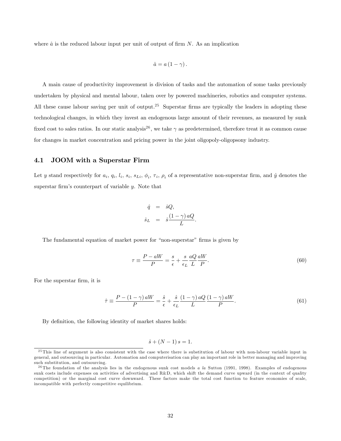where  $\hat{a}$  is the reduced labour input per unit of output of firm N. As an implication

$$
\hat{a}=a\left(1-\gamma\right).
$$

A main cause of productivity improvement is division of tasks and the automation of some tasks previously undertaken by physical and mental labour, taken over by powered machineries, robotics and computer systems. All these cause labour saving per unit of output.<sup>25</sup> Superstar firms are typically the leaders in adopting these technological changes, in which they invest an endogenous large amount of their revenues, as measured by sunk fixed cost to sales ratios. In our static analysis<sup>26</sup>, we take  $\gamma$  as predetermined, therefore treat it as common cause for changes in market concentration and pricing power in the joint oligopoly-oligopsony industry.

#### 4.1 JOOM with a Superstar Firm

Let y stand respectively for  $a_i$ ,  $q_i$ ,  $l_i$ ,  $s_i$ ,  $s_{Li}$ ,  $\phi_i$ ,  $\tau_i$ ,  $\rho_i$  of a representative non-superstar firm, and  $\hat{y}$  denotes the superstar firm's counterpart of variable  $y$ . Note that

$$
\begin{array}{rcl}\n\hat{q} & = & \hat{s}Q, \\
\hat{s}_L & = & \hat{s}\frac{(1-\gamma) aQ}{L}.\n\end{array}
$$

The fundamental equation of market power for "non-superstar" firms is given by

$$
\tau \equiv \frac{P - aW}{P} = \frac{s}{\epsilon} + \frac{s}{\epsilon_L} \frac{aQ}{L} \frac{aW}{P}.
$$
\n(60)

For the superstar firm, it is

$$
\hat{\tau} \equiv \frac{P - (1 - \gamma) aW}{P} = \frac{\hat{s}}{\epsilon} + \frac{\hat{s}}{\epsilon_L} \frac{(1 - \gamma) aQ}{L} \frac{(1 - \gamma) aW}{P}.
$$
\n(61)

By definition, the following identity of market shares holds:

$$
\hat{s} + (N-1) s = 1.
$$

<sup>25</sup> This line of argument is also consistent with the case where there is substitution of labour with non-labour variable input in general, and outsourcing in particular. Automation and computerisation can play an important role in better managing and improving such substitution, and outsourcing.

<sup>&</sup>lt;sup>26</sup> The foundation of the analysis lies in the endogenous sunk cost models a la Sutton (1991, 1998). Examples of endogenous sunk costs include expenses on activities of advertising and R&D, which shift the demand curve upward (in the context of quality competition) or the marginal cost curve downward. These factors make the total cost function to feature economies of scale, incompatible with perfectly competitive equilibrium.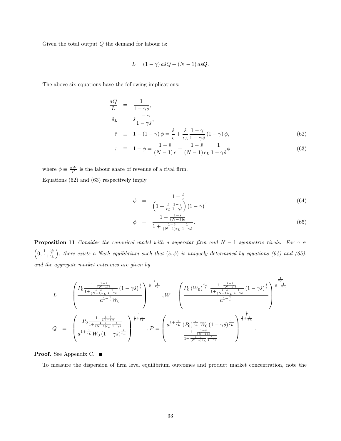Given the total output  $Q$  the demand for labour is:

$$
L = (1 - \gamma) a\hat{s}Q + (N - 1) asQ.
$$

The above six equations have the following implications:

$$
\frac{aQ}{L} = \frac{1}{1 - \gamma \hat{s}},
$$
\n
$$
\hat{s}_L = \hat{s} \frac{1 - \gamma}{1 - \gamma \hat{s}},
$$
\n
$$
\hat{\tau} = 1 - (1 - \gamma) \phi = \frac{\hat{s}}{1} + \frac{\hat{s}}{1} \frac{1 - \gamma}{1} (1 - \gamma) \phi
$$
\n(62)

$$
\hat{\tau} \equiv 1 - (1 - \gamma)\phi = \frac{s}{\epsilon} + \frac{s}{\epsilon_L} \frac{1 - \gamma}{1 - \gamma \hat{s}} (1 - \gamma)\phi, \tag{62}
$$

$$
\tau \equiv 1 - \phi = \frac{1 - \hat{s}}{(N - 1)\epsilon} + \frac{1 - \hat{s}}{(N - 1)\epsilon_L} \frac{1}{1 - \gamma \hat{s}} \phi,
$$
\n(63)

where  $\phi \equiv \frac{aW}{P}$  is the labour share of revenue of a rival firm. Equations (62) and (63) respectively imply

$$
\phi = \frac{1 - \frac{\hat{s}}{\epsilon}}{\left(1 + \frac{\hat{s}}{\epsilon_L} \frac{1 - \gamma}{1 - \gamma \hat{s}}\right) (1 - \gamma)},\tag{64}
$$

$$
\phi = \frac{1 - \frac{1 - \hat{s}}{(N - 1)\epsilon}}{1 + \frac{1 - \hat{s}}{(N - 1)\epsilon_L} \frac{1}{1 - \gamma \hat{s}}}. \tag{65}
$$

**Proposition 11** Consider the canonical model with a superstar firm and  $N-1$  symmetric rivals. For  $\gamma \in$  $\left(0, \frac{1+\frac{\epsilon_L}{\epsilon}}{1+\epsilon_L}\right)$ ), there exists a Nash equilibrium such that  $(\hat{s}, \phi)$  is uniquely determined by equations (64) and (65), and the aggregate market outcomes are given by

$$
L = \begin{pmatrix} P_0 \frac{1 - \frac{1 - \hat{s}}{(N-1)\epsilon}}{1 + \frac{1 - \hat{s}}{(N-1)\epsilon} \frac{1}{1 - \gamma \hat{s}}} (1 - \gamma \hat{s})^{\frac{1}{\epsilon}} \\ \frac{a^{1 - \frac{1}{\epsilon}} W_0}{a^{1 - \frac{1}{\epsilon}} W_0} \end{pmatrix}^{\frac{1}{\epsilon} + \frac{1}{\epsilon_L}} , W = \begin{pmatrix} P_0 \left( W_0 \right)^{\frac{\epsilon_L}{\epsilon}} \frac{1 - \frac{1 - \hat{s}}{(N-1)\epsilon}}{1 + \frac{1 - \hat{s}}{(N-1)\epsilon} \frac{1}{1 - \gamma \hat{s}}} (1 - \gamma \hat{s})^{\frac{1}{\epsilon}} \\ a^{1 - \frac{1}{\epsilon}} \end{pmatrix}^{\frac{1}{\epsilon} + \frac{1}{\epsilon_L}} \\ Q = \begin{pmatrix} P_0 \frac{1 - \frac{1 - \hat{s}}{(N-1)\epsilon}}{1 + \frac{1 - \hat{s}}{(N-1)\epsilon} \frac{1}{1 - \gamma \hat{s}}} \end{pmatrix}^{\frac{1}{\epsilon} + \frac{1}{\epsilon_L}} \\ R^{\frac{1 - \hat{s}}{(N-1)\epsilon}} \frac{1}{1 - \gamma \hat{s}} \end{pmatrix}^{\frac{1}{\epsilon} + \frac{1}{\epsilon_L}} \\ P = \begin{pmatrix} a^{1 + \frac{1}{\epsilon_L}} (P_0)^{\frac{\epsilon}{\epsilon_L}} W_0 \left(1 - \gamma \hat{s}\right)^{\frac{1}{\epsilon_L}} \\ \frac{1 - \frac{1 - \hat{s}}{(N-1)\epsilon}}{1 + \frac{1 - \hat{s}}{(N-1)\epsilon} \frac{1 - \hat{s}}{1 - \gamma \hat{s}}} \end{pmatrix}^{\frac{1}{\epsilon} + \frac{1}{\epsilon_L}} .
$$

Proof. See Appendix C. ■

To measure the dispersion of firm level equilibrium outcomes and product market concentration, note the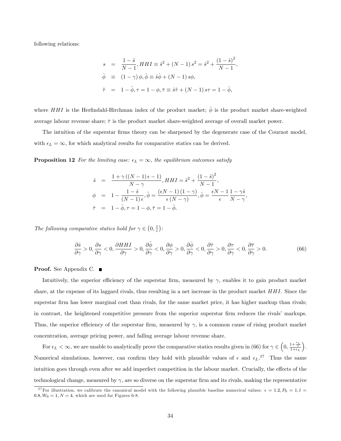following relations:

$$
s = \frac{1-\hat{s}}{N-1}, HHI \equiv \hat{s}^2 + (N-1)s^2 = \hat{s}^2 + \frac{(1-\hat{s})^2}{N-1},
$$
  
\n
$$
\hat{\phi} \equiv (1-\gamma)\phi, \bar{\phi} \equiv \hat{s}\hat{\phi} + (N-1)s\phi,
$$
  
\n
$$
\hat{\tau} = 1-\hat{\phi}, \tau = 1-\phi, \bar{\tau} \equiv \hat{s}\hat{\tau} + (N-1)s\tau = 1-\bar{\phi},
$$

where HHI is the Herfindahl-Hirchman index of the product market;  $\bar{\phi}$  is the product market share-weighted average labour revenue share;  $\bar{\tau}$  is the product market share-weighted average of overall market power.

The intuition of the superstar firms theory can be sharpened by the degenerate case of the Cournot model, with  $\epsilon_L = \infty$ , for which analytical results for comparative statics can be derived.

**Proposition 12** For the limiting case:  $\epsilon_L = \infty$ , the equilibrium outcomes satisfy

$$
\hat{s} = \frac{1 + \gamma \left( (N - 1)\epsilon - 1 \right)}{N - \gamma}, HHI = \hat{s}^2 + \frac{\left( 1 - \hat{s} \right)^2}{N - 1},
$$
\n
$$
\phi = 1 - \frac{1 - \hat{s}}{(N - 1)\epsilon}, \hat{\phi} = \frac{(\epsilon N - 1)\left( 1 - \gamma \right)}{\epsilon \left( N - \gamma \right)}, \bar{\phi} = \frac{\epsilon N - 1}{\epsilon} \frac{1 - \gamma \hat{s}}{N - \gamma}
$$
\n
$$
\hat{\tau} = 1 - \hat{\phi}, \tau = 1 - \phi, \bar{\tau} = 1 - \bar{\phi}.
$$

The following comparative statics hold for  $\gamma \in (0, \frac{1}{\epsilon})$ :

$$
\frac{\partial \hat{s}}{\partial \gamma} > 0, \frac{\partial s}{\partial \gamma} < 0, \frac{\partial HH}{\partial \gamma} > 0, \frac{\partial \hat{\phi}}{\partial \gamma} < 0, \frac{\partial \phi}{\partial \gamma} > 0, \frac{\partial \bar{\phi}}{\partial \gamma} < 0, \frac{\partial \hat{\tau}}{\partial \gamma} > 0, \frac{\partial \tau}{\partial \gamma} < 0, \frac{\partial \tau}{\partial \gamma} > 0.
$$
\n(66)

;

Proof. See Appendix C. ■

Intuitively, the superior efficiency of the superstar firm, measured by  $\gamma$ , enables it to gain product market share, at the expense of its laggard rivals, thus resulting in a net increase in the product market HHI. Since the superstar firm has lower marginal cost than rivals, for the same market price, it has higher markup than rivals; in contrast, the heightened competitive pressure from the superior superstar firm reduces the rivals' markups. Thus, the superior efficiency of the superstar firm, measured by  $\gamma$ , is a common cause of rising product market concentration, average pricing power, and falling average labour revenue share.

For  $\epsilon_L < \infty$ , we are unable to analytically prove the comparative statics results given in (66) for  $\gamma \in \left(0, \frac{1+\frac{\epsilon_L}{\epsilon_L}}{1+\epsilon_L}\right)$  . Numerical simulations, however, can confirm they hold with plausible values of  $\epsilon$  and  $\epsilon_L$ .<sup>27</sup> Thus the same intuition goes through even after we add imperfect competition in the labour market. Crucially, the effects of the technological change, measured by  $\gamma$ , are so diverse on the superstar firm and its rivals, making the representative

<sup>&</sup>lt;sup>27</sup>For illustration, we calibrate the canonical model with the following plausible baseline numerical values:  $\epsilon = 1.2, P_0 = 1, \tilde{\epsilon} =$  $0.8, W_0 = 1, N = 4$ , which are used for Figures 6-8.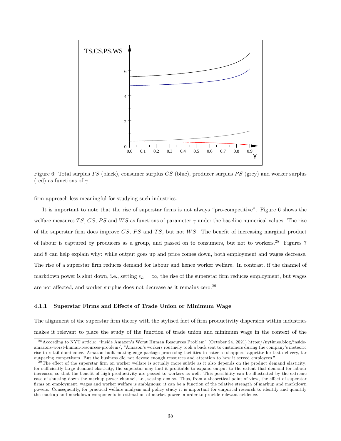

Figure 6: Total surplus  $TS$  (black), consumer surplus  $CS$  (blue), producer surplus  $PS$  (grey) and worker surplus (red) as functions of  $\gamma$ .

firm approach less meaningful for studying such industries.

It is important to note that the rise of superstar firms is not always "pro-competitive". Figure 6 shows the welfare measures TS, CS, PS and WS as functions of parameter  $\gamma$  under the baseline numerical values. The rise of the superstar firm does improve  $CS$ ,  $PS$  and  $TS$ , but not  $WS$ . The benefit of increasing marginal product of labour is captured by producers as a group, and passed on to consumers, but not to workers.<sup>28</sup> Figures 7 and 8 can help explain why: while output goes up and price comes down, both employment and wages decrease. The rise of a superstar firm reduces demand for labour and hence worker welfare. In contrast, if the channel of markdown power is shut down, i.e., setting  $\epsilon_L = \infty$ , the rise of the superstar firm reduces employment, but wages are not affected, and worker surplus does not decrease as it remains zero.<sup>29</sup>

#### 4.1.1 Superstar Firms and Effects of Trade Union or Minimum Wage

The alignment of the superstar firm theory with the stylised fact of firm productivity dispersion within industries makes it relevant to place the study of the function of trade union and minimum wage in the context of the

 $^{28}$  According to NYT article: "Inside Amazon's Worst Human Resources Problem" (October 24, 2021) https://nytimes.blog/insideamazons-worst-human-resources-problem/, "Amazon's workers routinely took a back seat to customers during the company's meteoric rise to retail dominance. Amazon built cutting-edge package processing facilities to cater to shoppers' appetite for fast delivery, far outpacing competitors. But the business did not devote enough resources and attention to how it served employees."

 $^{29}$ The effect of the superstar firm on worker welfare is actually more subtle as it also depends on the product demand elasticity: for sufficiently large demand elasticity, the superstar may find it profitable to expand output to the extent that demand for labour increases, so that the benefit of high productivity are passed to workers as well. This possibility can be illustrated by the extreme case of shutting down the markup power channel, i.e., setting  $\epsilon = \infty$ . Thus, from a theoretical point of view, the effect of superstar firms on employment, wages and worker welfare is ambiguous: it can be a function of the relative strength of markup and markdown powers. Consequently, for practical welfare analysis and policy study it is important for empirical research to identify and quantify the markup and markdown components in estimation of market power in order to provide relevant evidence.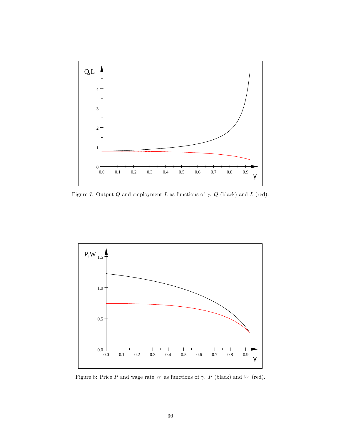

Figure 7: Output  $Q$  and employment  $L$  as functions of  $\gamma$ .  $Q$  (black) and  $L$  (red).



Figure 8: Price  $P$  and wage rate  $W$  as functions of  $\gamma$ .  $P$  (black) and  $W$  (red).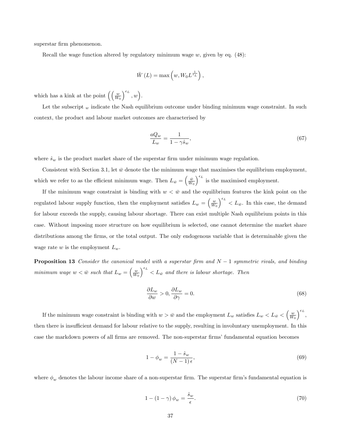superstar firm phenomenon.

Recall the wage function altered by regulatory minimum wage  $w$ , given by eq. (48):

$$
\bar{W}(L) = \max\left(w, W_0 L^{\frac{1}{\epsilon_L}}\right),\,
$$

which has a kink at the point  $\left( \left( \frac{w}{W_0} \right)$  $\Big)^{\epsilon_L}, w$ .

Let the subscript  $_w$  indicate the Nash equilibrium outcome under binding minimum wage constraint. In such context, the product and labour market outcomes are characterised by

$$
\frac{aQ_w}{L_w} = \frac{1}{1 - \gamma \hat{s}_w},\tag{67}
$$

where  $\hat{s}_w$  is the product market share of the superstar firm under minimum wage regulation.

Consistent with Section 3.1, let  $\bar{w}$  denote the the minimum wage that maximises the equilibrium employment, which we refer to as the efficient minimum wage. Then  $L_{\bar{w}} = \begin{pmatrix} \bar{w} \\ \bar{W}_0 \end{pmatrix}$  $\int_{-\infty}^{\epsilon_L}$  is the maximised employment.

If the minimum wage constraint is binding with  $w < \bar{w}$  and the equilibrium features the kink point on the regulated labour supply function, then the employment satisfies  $L_w = \begin{pmatrix} w \\ \overline{W_0} \end{pmatrix}$  $\int_{0}^{\epsilon_L} < L_{\bar{w}}$ . In this case, the demand for labour exceeds the supply, causing labour shortage. There can exist multiple Nash equilibrium points in this case. Without imposing more structure on how equilibrium is selected, one cannot determine the market share distributions among the firms, or the total output. The only endogenous variable that is determinable given the wage rate  $w$  is the employment  $L_w$ .

**Proposition 13** Consider the canonical model with a superstar firm and  $N-1$  symmetric rivals, and binding minimum wage  $w < \bar{w}$  such that  $L_w = \left(\frac{w}{W_0}\right)$  $\int_{0}^{\epsilon_L}$   $\epsilon_L L_{\bar{w}}$  and there is labour shortage. Then

$$
\frac{\partial L_w}{\partial w} > 0, \frac{\partial L_w}{\partial \gamma} = 0.
$$
\n(68)

If the minimum wage constraint is binding with  $w > \bar{w}$  and the employment  $L_w$  satisfies  $L_w < L_{\bar{w}} < \left(\frac{w}{W_0}\right)^{1/2}$  $\Big)^{\epsilon_L},$ then there is insufficient demand for labour relative to the supply, resulting in involuntary unemployment. In this case the markdown powers of all firms are removed. The non-superstar firms' fundamental equation becomes

$$
1 - \phi_w = \frac{1 - \hat{s}_w}{(N - 1)\epsilon},\tag{69}
$$

where  $\phi_w$  denotes the labour income share of a non-superstar firm. The superstar firm's fundamental equation is

$$
1 - (1 - \gamma)\phi_w = \frac{\hat{s}_w}{\epsilon}.\tag{70}
$$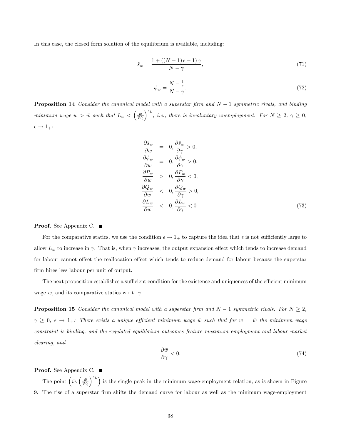In this case, the closed form solution of the equilibrium is available, including:

$$
\hat{s}_w = \frac{1 + \left( (N-1)\epsilon - 1 \right)\gamma}{N - \gamma},\tag{71}
$$

$$
\phi_w = \frac{N - \frac{1}{\epsilon}}{N - \gamma}.\tag{72}
$$

**Proposition 14** Consider the canonical model with a superstar firm and  $N-1$  symmetric rivals, and binding minimum wage  $w > \bar{w}$  such that  $L_w < \left(\frac{w}{W_0}\right)$  $\int_{0}^{\epsilon_L}$ , *i.e.*, there is involuntary unemployment. For  $N \geq 2$ ,  $\gamma \geq 0$ ,  $\epsilon \rightarrow 1_{+}$ :

$$
\frac{\partial \hat{s}_w}{\partial w} = 0, \frac{\partial \hat{s}_w}{\partial \gamma} > 0, \n\frac{\partial \phi_w}{\partial w} = 0, \frac{\partial \phi_w}{\partial \gamma} > 0, \n\frac{\partial P_w}{\partial w} > 0, \frac{\partial P_w}{\partial \gamma} < 0, \n\frac{\partial Q_w}{\partial w} < 0, \frac{\partial Q_w}{\partial \gamma} > 0, \n\frac{\partial L_w}{\partial w} < 0, \frac{\partial L_w}{\partial \gamma} < 0.
$$
\n(73)

Proof. See Appendix C. ■

For the comparative statics, we use the condition  $\epsilon \to 1_+$  to capture the idea that  $\epsilon$  is not sufficiently large to allow  $L_w$  to increase in  $\gamma$ . That is, when  $\gamma$  increases, the output expansion effect which tends to increase demand for labour cannot offset the reallocation effect which tends to reduce demand for labour because the superstar firm hires less labour per unit of output.

The next proposition establishes a sufficient condition for the existence and uniqueness of the efficient minimum wage  $\bar{w}$ , and its comparative statics w.r.t.  $\gamma$ .

**Proposition 15** Consider the canonical model with a superstar firm and  $N-1$  symmetric rivals. For  $N \geq 2$ ,  $\gamma \geq 0$ ,  $\epsilon \to 1_+$ : There exists a unique efficient minimum wage  $\bar{w}$  such that for  $w = \bar{w}$  the minimum wage constraint is binding, and the regulated equilibrium outcomes feature maximum employment and labour market clearing, and

$$
\frac{\partial \bar{w}}{\partial \gamma} < 0. \tag{74}
$$

Proof. See Appendix C. ■

The point  $\left(\bar{w}, \left(\frac{\bar{w}}{W_0}\right)\right)$  $\binom{\epsilon_L}{\epsilon_L}$  is the single peak in the minimum wage-employment relation, as is shown in Figure 9. The rise of a superstar Örm shifts the demand curve for labour as well as the minimum wage-employment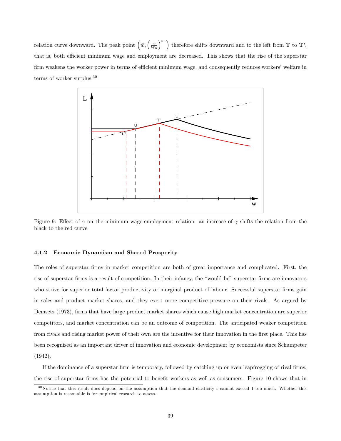relation curve downward. The peak point  $(\bar{w}, \left(\frac{\bar{w}}{W_0}\right)$  $\int_{0}^{\epsilon_L}$  therefore shifts downward and to the left from **T** to **T**', that is, both efficient minimum wage and employment are decreased. This shows that the rise of the superstar firm weakens the worker power in terms of efficient minimum wage, and consequently reduces workers' welfare in terms of worker surplus.<sup>30</sup>



Figure 9: Effect of  $\gamma$  on the minimum wage-employment relation: an increase of  $\gamma$  shifts the relation from the black to the red curve

#### 4.1.2 Economic Dynamism and Shared Prosperity

The roles of superstar firms in market competition are both of great importance and complicated. First, the rise of superstar firms is a result of competition. In their infancy, the "would be" superstar firms are innovators who strive for superior total factor productivity or marginal product of labour. Successful superstar firms gain in sales and product market shares, and they exert more competitive pressure on their rivals. As argued by Demsetz (1973), firms that have large product market shares which cause high market concentration are superior competitors, and market concentration can be an outcome of competition. The anticipated weaker competition from rivals and rising market power of their own are the incentive for their innovation in the first place. This has been recognised as an important driver of innovation and economic development by economists since Schumpeter (1942).

If the dominance of a superstar firm is temporary, followed by catching up or even leapfrogging of rival firms, the rise of superstar firms has the potential to benefit workers as well as consumers. Figure 10 shows that in

<sup>&</sup>lt;sup>30</sup>Notice that this result does depend on the assumption that the demand elasticity  $\epsilon$  cannot exceed 1 too much. Whether this assumption is reasonable is for empirical research to assess.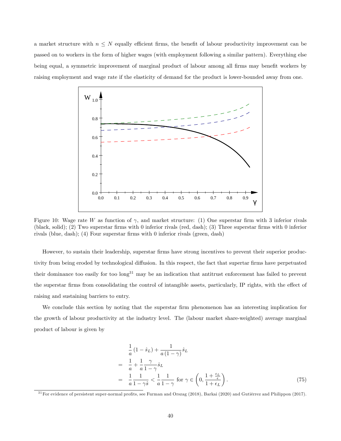a market structure with  $n \leq N$  equally efficient firms, the benefit of labour productivity improvement can be passed on to workers in the form of higher wages (with employment following a similar pattern). Everything else being equal, a symmetric improvement of marginal product of labour among all firms may benefit workers by raising employment and wage rate if the elasticity of demand for the product is lower-bounded away from one.



Figure 10: Wage rate W as function of  $\gamma$ , and market structure: (1) One superstar firm with 3 inferior rivals (black, solid); (2) Two superstar firms with 0 inferior rivals (red, dash); (3) Three superstar firms with 0 inferior rivals (blue, dash); (4) Four superstar firms with 0 inferior rivals (green, dash)

However, to sustain their leadership, superstar firms have strong incentives to prevent their superior productivity from being eroded by technological diffusion. In this respect, the fact that supertar firms have perpetuated their dominance too easily for too long<sup>31</sup> may be an indication that antitrust enforcement has failed to prevent the superstar firms from consolidating the control of intangible assets, particularly, IP rights, with the effect of raising and sustaining barriers to entry.

We conclude this section by noting that the superstar firm phenomenon has an interesting implication for the growth of labour productivity at the industry level. The (labour market share-weighted) average marginal product of labour is given by

$$
\frac{1}{a}(1-\hat{s}_L) + \frac{1}{a(1-\gamma)}\hat{s}_L
$$
\n
$$
= \frac{1}{a} + \frac{1}{a}\frac{\gamma}{1-\gamma}\hat{s}_L
$$
\n
$$
= \frac{1}{a}\frac{1}{1-\gamma\hat{s}} < \frac{1}{a}\frac{1}{1-\gamma} \text{ for } \gamma \in \left(0, \frac{1+\frac{\epsilon_L}{\epsilon}}{1+\epsilon_L}\right).
$$
\n(75)

 $31$  For evidence of persistent super-normal profits, see Furman and Orszag (2018), Barkai (2020) and Gutiérrez and Philippon (2017).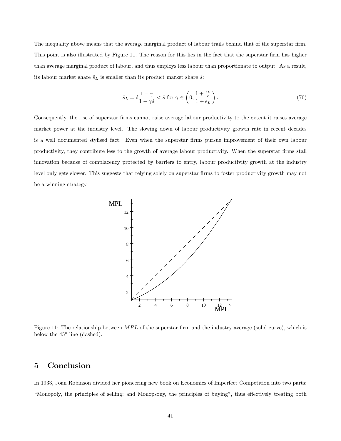The inequality above means that the average marginal product of labour trails behind that of the superstar firm. This point is also illustrated by Figure 11. The reason for this lies in the fact that the superstar firm has higher than average marginal product of labour, and thus employs less labour than proportionate to output. As a result, its labour market share  $\hat{s}_L$  is smaller than its product market share  $\hat{s}$ :

$$
\hat{s}_L = \hat{s} \frac{1 - \gamma}{1 - \gamma \hat{s}} < \hat{s} \text{ for } \gamma \in \left(0, \frac{1 + \frac{\epsilon_L}{\epsilon}}{1 + \epsilon_L}\right). \tag{76}
$$

Consequently, the rise of superstar firms cannot raise average labour productivity to the extent it raises average market power at the industry level. The slowing down of labour productivity growth rate in recent decades is a well documented stylised fact. Even when the superstar firms pursue improvement of their own labour productivity, they contribute less to the growth of average labour productivity. When the superstar Örms stall innovation because of complacency protected by barriers to entry, labour productivity growth at the industry level only gets slower. This suggests that relying solely on superstar firms to foster productivity growth may not be a winning strategy.



Figure 11: The relationship between MPL of the superstar firm and the industry average (solid curve), which is below the  $45^{\circ}$  line (dashed).

## 5 Conclusion

In 1933, Joan Robinson divided her pioneering new book on Economics of Imperfect Competition into two parts: ìMonopoly, the principles of selling; and Monopsony, the principles of buyingî, thus e§ectively treating both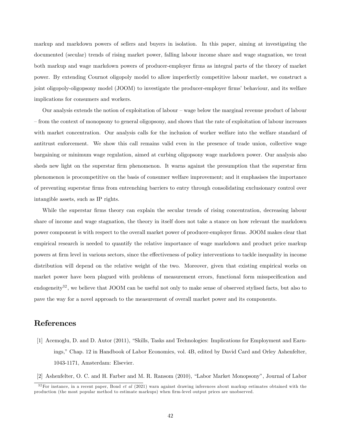markup and markdown powers of sellers and buyers in isolation. In this paper, aiming at investigating the documented (secular) trends of rising market power, falling labour income share and wage stagnation, we treat both markup and wage markdown powers of producer-employer Örms as integral parts of the theory of market power. By extending Cournot oligopoly model to allow imperfectly competitive labour market, we construct a joint oligopoly-oligopsony model (JOOM) to investigate the producer-employer firms' behaviour, and its welfare implications for consumers and workers.

Our analysis extends the notion of exploitation of labour – wage below the marginal revenue product of labour – from the context of monopsony to general oligopsony, and shows that the rate of exploitation of labour increases with market concentration. Our analysis calls for the inclusion of worker welfare into the welfare standard of antitrust enforcement. We show this call remains valid even in the presence of trade union, collective wage bargaining or minimum wage regulation, aimed at curbing oligopsony wage markdown power. Our analysis also sheds new light on the superstar firm phenomenon. It warns against the presumption that the superstar firm phenomenon is procompetitive on the basis of consumer welfare improvement; and it emphasises the importance of preventing superstar Örms from entrenching barriers to entry through consolidating exclusionary control over intangible assets, such as IP rights.

While the superstar firms theory can explain the secular trends of rising concentration, decreasing labour share of income and wage stagnation, the theory in itself does not take a stance on how relevant the markdown power component is with respect to the overall market power of producer-employer firms. JOOM makes clear that empirical research is needed to quantify the relative importance of wage markdown and product price markup powers at firm level in various sectors, since the effectiveness of policy interventions to tackle inequality in income distribution will depend on the relative weight of the two. Moreover, given that existing empirical works on market power have been plagued with problems of measurement errors, functional form misspecification and endogeneity<sup>32</sup>, we believe that JOOM can be useful not only to make sense of observed stylised facts, but also to pave the way for a novel approach to the measurement of overall market power and its components.

## References

- [1] Acemoglu, D. and D. Autor (2011), "Skills, Tasks and Technologies: Implications for Employment and Earnings," Chap. 12 in Handbook of Labor Economics, vol. 4B, edited by David Card and Orley Ashenfelter, 1043-1171, Amsterdam: Elsevier.
- [2] Ashenfelter, O. C. and H. Farber and M. R. Ransom (2010), "Labor Market Monopsony", Journal of Labor

 $32$ For instance, in a recent paper, Bond et al (2021) warn against drawing inferences about markup estimates obtained with the production (the most popular method to estimate markups) when firm-level output prices are unobserved.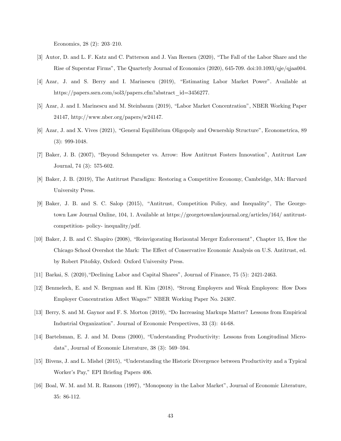Economics,  $28(2)$ :  $203-210$ .

- [3] Autor, D. and L. F. Katz and C. Patterson and J. Van Reenen (2020), "The Fall of the Labor Share and the Rise of Superstar Firmsî, The Quarterly Journal of Economics (2020), 645-709. doi:10.1093/qje/qjaa004.
- [4] Azar, J. and S. Berry and I. Marinescu (2019), "Estimating Labor Market Power". Available at https://papers.ssrn.com/sol3/papers.cfm?abstract\_id=3456277.
- [5] Azar, J. and I. Marinescu and M. Steinbaum (2019), "Labor Market Concentration", NBER Working Paper 24147, http://www.nber.org/papers/w24147.
- [6] Azar, J. and X. Vives (2021), "General Equilibrium Oligopoly and Ownership Structure", Econometrica, 89 (3): 999-1048.
- [7] Baker, J. B. (2007), "Beyond Schumpeter vs. Arrow: How Antitrust Fosters Innovation", Antitrust Law Journal, 74 (3): 575-602.
- [8] Baker, J. B. (2019), The Antitrust Paradigm: Restoring a Competitive Economy, Cambridge, MA: Harvard University Press.
- [9] Baker, J. B. and S. C. Salop (2015), "Antitrust, Competition Policy, and Inequality", The Georgetown Law Journal Online, 104, 1. Available at https://georgetownlawjournal.org/articles/164/ antitrustcompetition- policy- inequality/pdf.
- [10] Baker, J. B. and C. Shapiro (2008), "Reinvigorating Horizontal Merger Enforcement", Chapter 15, How the Chicago School Overshot the Mark: The Effect of Conservative Economic Analysis on U.S. Antitrust, ed. by Robert Pitofsky, Oxford: Oxford University Press.
- [11] Barkai, S.  $(2020)$ , "Declining Labor and Capital Shares", Journal of Finance, 75 (5): 2421-2463.
- [12] Benmelech, E. and N. Bergman and H. Kim (2018), "Strong Employers and Weak Employees: How Does Employer Concentration Affect Wages?" NBER Working Paper No. 24307.
- [13] Berry, S. and M. Gaynor and F. S. Morton (2019), "Do Increasing Markups Matter? Lessons from Empirical Industrial Organizationî. Journal of Economic Perspectives, 33 (3): 44-68.
- [14] Bartelsman, E. J. and M. Doms (2000), "Understanding Productivity: Lessons from Longitudinal Microdata", Journal of Economic Literature,  $38$  (3):  $569-594$ .
- [15] Bivens, J. and L. Mishel (2015), "Understanding the Historic Divergence between Productivity and a Typical Worker's Pay," EPI Briefing Papers 406.
- [16] Boal, W. M. and M. R. Ransom (1997), "Monopsony in the Labor Market", Journal of Economic Literature, 35: 86-112.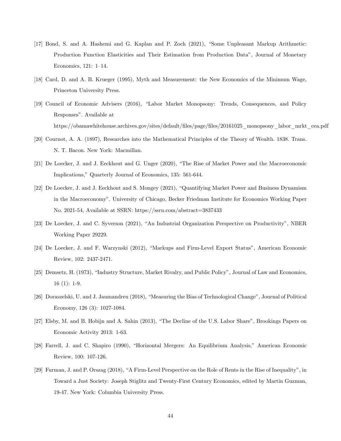- [17] Bond, S. and A. Hashemi and G. Kaplan and P. Zoch (2021), "Some Unpleasant Markup Arithmetic: Production Function Elasticities and Their Estimation from Production Dataî, Journal of Monetary Economics,  $121: 1-14$ .
- [18] Card, D. and A. B. Krueger (1995), Myth and Measurement: the New Economics of the Minimum Wage, Princeton University Press.
- [19] Council of Economic Advisers (2016), "Labor Market Monopsony: Trends, Consequences, and Policy Responses". Available at https://obamawhitehouse.archives.gov/sites/default/Öles/page/Öles/20161025\_monopsony\_labor\_mrkt\_cea.pdf
- [20] Cournot, A. A. (1897), Researches into the Mathematical Principles of the Theory of Wealth. 1838. Trans. N. T. Bacon. New York: Macmillan.
- [21] De Loecker, J. and J. Eeckhout and G. Unger (2020), "The Rise of Market Power and the Macroeconomic Implications," Quarterly Journal of Economics, 135: 561-644.
- [22] De Loecker, J. and J. Eeckhout and S. Mongey (2021), "Quantifying Market Power and Business Dynamism in the Macroeconomyî. University of Chicago, Becker Friedman Institute for Economics Working Paper No. 2021-54, Available at SSRN: https://ssrn.com/abstract=3837433
- [23] De Loecker, J. and C. Syverson (2021), "An Industrial Organization Perspective on Productivity", NBER Working Paper 29229.
- [24] De Loecker, J. and F. Warzynski (2012), "Markups and Firm-Level Export Status", American Economic Review, 102: 2437-2471.
- [25] Demsetz, H. (1973), "Industry Structure, Market Rivalry, and Public Policy", Journal of Law and Economics, 16 (1): 1-9.
- [26] Doraszelski, U. and J. Jaumandreu (2018), "Measuring the Bias of Technological Change", Journal of Political Economy, 126 (3): 1027-1084.
- [27] Elsby, M. and B. Hobijn and A. Sahin (2013), "The Decline of the U.S. Labor Share", Brookings Papers on Economic Activity 2013: 1-63.
- [28] Farrell, J. and C. Shapiro (1990), "Horizontal Mergers: An Equilibrium Analysis," American Economic Review, 100: 107-126.
- [29] Furman, J. and P. Orszag (2018), "A Firm-Level Perspective on the Role of Rents in the Rise of Inequality", in Toward a Just Society: Joseph Stiglitz and Twenty-First Century Economics, edited by Martin Guzman, 19-47. New York: Columbia University Press.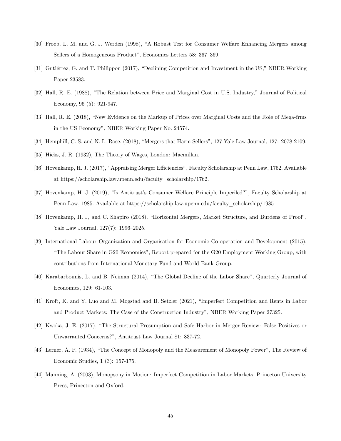- [30] Froeb, L. M. and G. J. Werden (1998), "A Robust Test for Consumer Welfare Enhancing Mergers among Sellers of a Homogeneous Product", Economics Letters 58: 367-369.
- [31] Gutièrrez, G. and T. Philippon (2017), "Declining Competition and Investment in the US," NBER Working Paper 23583.
- [32] Hall, R. E. (1988), "The Relation between Price and Marginal Cost in U.S. Industry," Journal of Political Economy, 96 (5): 921-947.
- [33] Hall, R. E. (2018), "New Evidence on the Markup of Prices over Marginal Costs and the Role of Mega-frms in the US Economy", NBER Working Paper No. 24574.
- [34] Hemphill, C. S. and N. L. Rose. (2018), "Mergers that Harm Sellers", 127 Yale Law Journal, 127: 2078-2109.
- [35] Hicks, J. R. (1932), The Theory of Wages, London: Macmillan.
- [36] Hovenkamp, H. J. (2017), "Appraising Merger Efficiencies", Faculty Scholarship at Penn Law, 1762. Available at https://scholarship.law.upenn.edu/faculty\_scholarship/1762.
- [37] Hovenkamp, H. J. (2019), "Is Antitrust's Consumer Welfare Principle Imperiled?", Faculty Scholarship at Penn Law, 1985. Available at https://scholarship.law.upenn.edu/faculty\_scholarship/1985
- [38] Hovenkamp, H. J, and C. Shapiro (2018), "Horizontal Mergers, Market Structure, and Burdens of Proof", Yale Law Journal,  $127(7)$ : 1996–2025.
- [39] International Labour Organization and Organisation for Economic Co-operation and Development (2015), ìThe Labour Share in G20 Economiesî, Report prepared for the G20 Employment Working Group, with contributions from International Monetary Fund and World Bank Group.
- [40] Karabarbounis, L. and B. Neiman (2014), "The Global Decline of the Labor Share", Quarterly Journal of Economics, 129: 61-103.
- [41] Kroft, K. and Y. Luo and M. Mogstad and B. Setzler (2021), "Imperfect Competition and Rents in Labor and Product Markets: The Case of the Construction Industry", NBER Working Paper 27325.
- [42] Kwoka, J. E. (2017), "The Structural Presumption and Safe Harbor in Merger Review: False Positives or Unwarranted Concerns?", Antitrust Law Journal 81: 837-72.
- [43] Lerner, A. P. (1934), "The Concept of Monopoly and the Measurement of Monopoly Power", The Review of Economic Studies, 1 (3): 157-175.
- [44] Manning, A. (2003), Monopsony in Motion: Imperfect Competition in Labor Markets, Princeton University Press, Princeton and Oxford.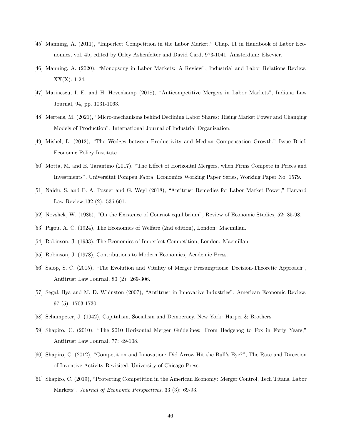- [45] Manning, A. (2011), "Imperfect Competition in the Labor Market." Chap. 11 in Handbook of Labor Economics, vol. 4b, edited by Orley Ashenfelter and David Card, 973-1041. Amsterdam: Elsevier.
- [46] Manning, A. (2020), "Monopsony in Labor Markets: A Review", Industrial and Labor Relations Review,  $XX(X)$ : 1-24.
- [47] Marinescu, I. E. and H. Hovenkamp (2018), "Anticompetitive Mergers in Labor Markets", Indiana Law Journal, 94, pp. 1031-1063.
- [48] Mertens, M. (2021), "Micro-mechanisms behind Declining Labor Shares: Rising Market Power and Changing Models of Productionî, International Journal of Industrial Organization.
- [49] Mishel, L. (2012), "The Wedges between Productivity and Median Compensation Growth," Issue Brief, Economic Policy Institute.
- [50] Motta, M. and E. Tarantino (2017), "The Effect of Horizontal Mergers, when Firms Compete in Prices and Investmentsî. Universitat Pompeu Fabra, Economics Working Paper Series, Working Paper No. 1579.
- [51] Naidu, S. and E. A. Posner and G. Weyl (2018), "Antitrust Remedies for Labor Market Power," Harvard Law Review,132 (2): 536-601.
- [52] Novshek, W. (1985), "On the Existence of Cournot equilibrium", Review of Economic Studies, 52: 85-98.
- [53] Pigou, A. C. (1924), The Economics of Welfare (2nd edition), London: Macmillan.
- [54] Robinson, J. (1933), The Economics of Imperfect Competition, London: Macmillan.
- [55] Robinson, J. (1978), Contributions to Modern Economics, Academic Press.
- [56] Salop, S. C. (2015), "The Evolution and Vitality of Merger Presumptions: Decision-Theoretic Approach", Antitrust Law Journal, 80 (2): 269-306.
- [57] Segal, Ilya and M. D. Whinston (2007), "Antitrust in Innovative Industries", American Economic Review, 97 (5): 1703-1730.
- [58] Schumpeter, J. (1942), Capitalism, Socialism and Democracy. New York: Harper & Brothers.
- [59] Shapiro, C. (2010), "The 2010 Horizontal Merger Guidelines: From Hedgehog to Fox in Forty Years," Antitrust Law Journal, 77: 49-108.
- [60] Shapiro, C. (2012), "Competition and Innovation: Did Arrow Hit the Bull's Eye?", The Rate and Direction of Inventive Activity Revisited, University of Chicago Press.
- [61] Shapiro, C. (2019), "Protecting Competition in the American Economy: Merger Control, Tech Titans, Labor Markets", Journal of Economic Perspectives, 33 (3): 69-93.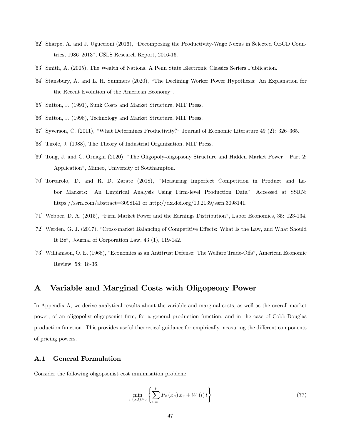- [62] Sharpe, A. and J. Uguccioni (2016), "Decomposing the Productivity-Wage Nexus in Selected OECD Countries,  $1986-2013$ ", CSLS Research Report, 2016-16.
- [63] Smith, A. (2005), The Wealth of Nations. A Penn State Electronic Classics Seriers Publication.
- [64] Stansbury, A. and L. H. Summers (2020), "The Declining Worker Power Hypothesis: An Explanation for the Recent Evolution of the American Economy".
- [65] Sutton, J. (1991), Sunk Costs and Market Structure, MIT Press.
- [66] Sutton, J. (1998), Technology and Market Structure, MIT Press.
- [67] Syverson, C. (2011), "What Determines Productivity?" Journal of Economic Literature  $49$  (2): 326–365.
- [68] Tirole, J. (1988), The Theory of Industrial Organization, MIT Press.
- [69] Tong, J. and C. Ornaghi (2020), "The Oligopoly-oligopsony Structure and Hidden Market Power Part 2: Applicationî, Mimeo, University of Southampton.
- [70] Tortarolo, D. and R. D. Zarate (2018), "Measuring Imperfect Competition in Product and Labor Markets: An Empirical Analysis Using Firm-level Production Dataî. Accessed at SSRN: https://ssrn.com/abstract=3098141 or http://dx.doi.org/10.2139/ssrn.3098141.
- [71] Webber, D. A. (2015), "Firm Market Power and the Earnings Distribution", Labor Economics, 35: 123-134.
- [72] Werden, G. J. (2017), "Cross-market Balancing of Competitive Effects: What Is the Law, and What Should It Be", Journal of Corporation Law,  $43$  (1),  $119-142$ .
- [73] Williamson, O. E. (1968), "Economies as an Antitrust Defense: The Welfare Trade-Offs", American Economic Review, 58: 18-36.

## A Variable and Marginal Costs with Oligopsony Power

In Appendix A, we derive analytical results about the variable and marginal costs, as well as the overall market power, of an oligopolist-oligopsonist Örm, for a general production function, and in the case of Cobb-Douglas production function. This provides useful theoretical guidance for empirically measuring the different components of pricing powers.

#### A.1 General Formulation

Consider the following oligopsonist cost minimisation problem:

$$
\min_{F(\mathbf{x},l)\geq q} \left\{ \sum_{v=1}^{V} P_v(x_v) \, x_v + W(l) \, l \right\} \tag{77}
$$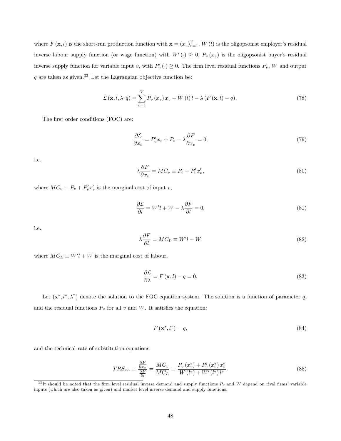where  $F(\mathbf{x}, l)$  is the short-run production function with  $\mathbf{x} = (x_v)_{v=1}^V$ ,  $W(l)$  is the oligopsonist employer's residual inverse labour supply function (or wage function) with  $W'(\cdot) \geq 0$ ,  $P_v(x_v)$  is the oligopsonist buyer's residual inverse supply function for variable input v, with  $P'_v(\cdot) \ge 0$ . The firm level residual functions  $P_v$ , W and output  $q$  are taken as given.<sup>33</sup> Let the Lagrangian objective function be:

$$
\mathcal{L}(\mathbf{x}, l, \lambda; q) = \sum_{v=1}^{V} P_v(x_v) x_v + W(l) l - \lambda (F(\mathbf{x}, l) - q).
$$
 (78)

The first order conditions (FOC) are:

$$
\frac{\partial \mathcal{L}}{\partial x_v} = P_v' x_v + P_v - \lambda \frac{\partial F}{\partial x_v} = 0,\tag{79}
$$

i.e.,

$$
\lambda \frac{\partial F}{\partial x_v} = MC_v \equiv P_v + P'_v x'_v,\tag{80}
$$

where  $MC_v \equiv P_v + P'_v x'_v$  is the marginal cost of input v,

$$
\frac{\partial \mathcal{L}}{\partial l} = W'l + W - \lambda \frac{\partial F}{\partial l} = 0,\tag{81}
$$

i.e.,

$$
\lambda \frac{\partial F}{\partial l} = MC_L \equiv W'l + W,\tag{82}
$$

where  $MC_L \equiv W'l + W$  is the marginal cost of labour,

$$
\frac{\partial \mathcal{L}}{\partial \lambda} = F(\mathbf{x}, l) - q = 0. \tag{83}
$$

Let  $(x^*, l^*, \lambda^*)$  denote the solution to the FOC equation system. The solution is a function of parameter q, and the residual functions  $P_v$  for all v and W. It satisfies the equation:

$$
F\left(\mathbf{x}^*, l^*\right) = q,\tag{84}
$$

and the technical rate of substitution equations:

$$
TRS_{vL} \equiv \frac{\frac{\partial F}{\partial x_v}}{\frac{\partial F}{\partial l}} = \frac{MC_v}{MC_L} \equiv \frac{P_v(x_v^*) + P_v'(x_v^*) x_v^*}{W(l^*) + W'(l^*)l^*}.
$$
\n
$$
(85)
$$

 $33$ It should be noted that the firm level residual inverse demand and supply functions  $P_v$  and W depend on rival firms' variable inputs (which are also taken as given) and market level inverse demand and supply functions.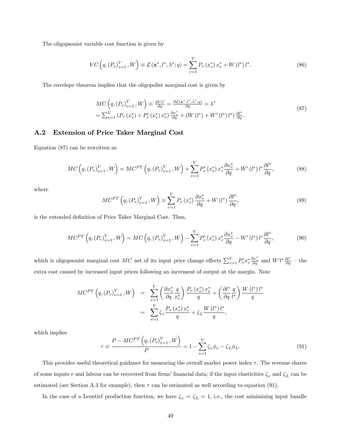The oligopsonist variable cost function is given by

$$
VC\left(q,(P_v)_{v=1}^V,W\right) \equiv \mathcal{L}\left(\mathbf{x}^*,l^*,\lambda^*;q\right) = \sum_{v=1}^V P_v\left(x_v^*\right)x_v^* + W\left(l^*\right)l^*.
$$
\n(86)

The envelope theorem implies that the oligopolist marginal cost is given by

$$
MC\left(q,(P_v)_{v=1}^V,W\right) \equiv \frac{dVC}{dq} = \frac{\partial \mathcal{L}(\mathbf{x}^*,l^*,\lambda^*;q)}{\partial q} = \lambda^*
$$
  
=  $\sum_{v=1}^V \left(P_v\left(x_v^*\right) + P_v'\left(x_v^*\right)x_v^*\right) \frac{\partial x_v^*}{\partial q} + \left(W\left(l^*\right) + W'\left(l^*\right)l^*\right) \frac{\partial l^*}{\partial q}.$  (87)

#### A.2 Extension of Price Taker Marginal Cost

Equation (87) can be rewritten as

$$
MC\left(q,(P_v)_{v=1}^V,W\right) = MC^{PT}\left(q,(P_v)_{v=1}^V,W\right) + \sum_{v=1}^V P'_v(x_v^*) x_v^* \frac{\partial x_v^*}{\partial q} + W'(l^*) l^* \frac{\partial l^*}{\partial q},\tag{88}
$$

where

$$
MC^{PT}\left(q,(P_v)_{v=1}^V,W\right) \equiv \sum_{v=1}^V P_v\left(x_v^*\right) \frac{\partial x_v^*}{\partial q} + W\left(l^*\right) \frac{\partial l^*}{\partial q},\tag{89}
$$

is the extended definition of Price Taker Marginal Cost. Thus,

$$
MC^{PT}\left(q,(P_v)_{v=1}^V,W\right) = MC\left(q,(P_v)_{v=1}^V,W\right) - \sum_{v=1}^V P'_v(x_v^*) x_v^* \frac{\partial x_v^*}{\partial q} - W'(l^*) l^* \frac{\partial l^*}{\partial q},\tag{90}
$$

which is oligopsonist marginal cost MC net of its input price change effects  $\sum_{v=1}^{V} P_v^{\prime} x_v^* \frac{\partial x_v^*}{\partial q}$  and  $W^{\prime} l^* \frac{\partial l^*}{\partial q}$  - the extra cost caused by increased input prices following an increment of output at the margin. Note

$$
MC^{PT}\left(q,(P_v)_{v=1}^V,W\right) = \sum_{v=1}^V \left(\frac{\partial x_v^*}{\partial q} \frac{q}{x_v^*}\right) \frac{P_v(x_v^*) x_v^*}{q} + \left(\frac{\partial l^*}{\partial q} \frac{q}{l^*}\right) \frac{W(l^*) l^*}{q}
$$

$$
= \sum_{v=1}^V \zeta_v \frac{P_v(x_v^*) x_v^*}{q} + \zeta_L \frac{W(l^*) l^*}{q},
$$

which implies

$$
\tau \equiv \frac{P - MC^{PT}\left(q, (P_v)_{v=1}^V, W\right)}{P} = 1 - \sum_{v=1}^V \zeta_v \phi_v - \zeta_L \phi_L.
$$
\n(91)

This provides useful theoretical guidance for measuring the overall market power index  $\tau$ . The revenue shares of some inputs v and labour can be recovered from firms' financial data; if the input elasticities  $\zeta_v$  and  $\zeta_L$  can be estimated (see Section A.3 for example), then  $\tau$  can be estimated as well according to equation (91).

In the case of a Leontief production function, we have  $\zeta_v = \zeta_L = 1$ , i.e., the cost minimising input bundle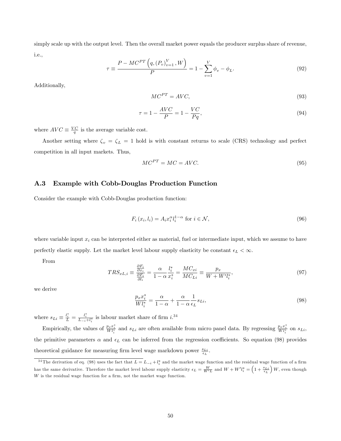simply scale up with the output level. Then the overall market power equals the producer surplus share of revenue, i.e.,

$$
\tau \equiv \frac{P - MC^{PT}\left(q, (P_v)_{v=1}^V, W\right)}{P} = 1 - \sum_{v=1}^V \phi_v - \phi_L.
$$
\n(92)

Additionally,

$$
MC^{PT} = AVC,\tag{93}
$$

$$
\tau = 1 - \frac{AVC}{P} = 1 - \frac{VC}{Pq},\tag{94}
$$

where  $AVC \equiv \frac{VC}{q}$  is the average variable cost.

Another setting where  $\zeta_v = \zeta_L = 1$  hold is with constant returns to scale (CRS) technology and perfect competition in all input markets. Thus,

$$
MC^{PT} = MC = AVC.
$$
\n(95)

#### A.3 Example with Cobb-Douglas Production Function

Consider the example with Cobb-Douglas production function:

$$
F_i(x_i, l_i) = A_i x_i^{\alpha} l_i^{1-\alpha} \text{ for } i \in \mathcal{N},\tag{96}
$$

where variable input  $x_i$  can be interpreted either as material, fuel or intermediate input, which we assume to have perfectly elastic supply. Let the market level labour supply elasticity be constant  $\epsilon_L < \infty$ .

From

$$
TRS_{xL,i} \equiv \frac{\frac{\partial F_i}{\partial x_i}}{\frac{\partial F_i}{\partial l_i}} = \frac{\alpha}{1 - \alpha} \frac{l_i^*}{x_i^*} = \frac{MC_{xi}}{MC_{Li}} \equiv \frac{p_x}{W + W'l_i^*},\tag{97}
$$

we derive

$$
\frac{p_x x_i^*}{W l_i^*} = \frac{\alpha}{1 - \alpha} + \frac{\alpha}{1 - \alpha} \frac{1}{\epsilon_L} s_{Li},\tag{98}
$$

where  $s_{Li} \equiv \frac{l_i^*}{L} = \frac{l_i^*}{L_{-i} + l_i^*}$  is labour market share of firm  $i^{.34}$ 

Empirically, the values of  $\frac{p_x x_i^*}{W l_i^*}$  and  $s_{Li}$  are often available from micro panel data. By regressing  $\frac{p_x x_i^*}{W l_i^*}$  on  $s_{Li}$ , the primitive parameters  $\alpha$  and  $\epsilon_L$  can be inferred from the regression coefficients. So equation (98) provides theoretical guidance for measuring firm level wage markdown power  $\frac{s_{Li}}{\epsilon_L}$ .

<sup>&</sup>lt;sup>34</sup>The derivation of eq. (98) uses the fact that  $L = L_{-i} + l_i^*$  and the market wage function and the residual wage function of a firm has the same derivative. Therefore the market level labour supply elasticity  $\epsilon_L = \frac{W}{W'L}$  and  $W + W'l_i^* = \left(1 + \frac{s_{Li}}{\epsilon_L}\right)$  $W$ , even though  $W$  is the residual wage function for a firm, not the market wage function.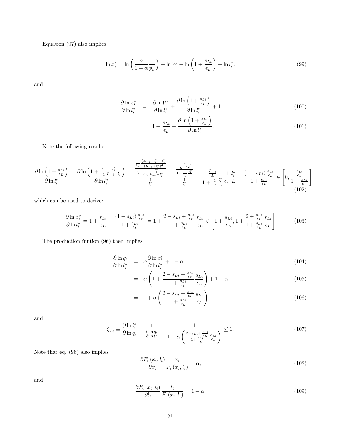Equation (97) also implies

$$
\ln x_i^* = \ln \left( \frac{\alpha}{1 - \alpha p_x} \right) + \ln W + \ln \left( 1 + \frac{s_{Li}}{\epsilon_L} \right) + \ln l_i^*,\tag{99}
$$

and

$$
\frac{\partial \ln x_i^*}{\partial \ln l_i^*} = \frac{\partial \ln W}{\partial \ln l_i^*} + \frac{\partial \ln \left(1 + \frac{s_{Li}}{\epsilon_L}\right)}{\partial \ln l_i^*} + 1 \tag{100}
$$

$$
= 1 + \frac{s_{Li}}{\epsilon_L} + \frac{\partial \ln\left(1 + \frac{s_{Li}}{\epsilon_L}\right)}{\partial \ln l_i^*}.
$$
\n(101)

Note the following results:

$$
\frac{\partial \ln\left(1+\frac{s_{Li}}{\epsilon_L}\right)}{\partial \ln l_i^*} = \frac{\partial \ln\left(1+\frac{1}{\epsilon_L}\frac{l_i^*}{L_{-i}+l_i^*}\right)}{\partial \ln l_i^*} = \frac{\frac{\frac{1}{\epsilon_L}\frac{(L_{-i}+l_i^*)-l_i^*}{(L_{-i}+l_i^*)^2}}{l_{i}^*}}{\frac{1}{l_i^*}} = \frac{\frac{\frac{1}{\epsilon_L}\frac{L_{-i}}{L_i^*}}{L_i^*}}{\frac{1}{l_i^*}} = \frac{\frac{1}{\epsilon_L}\frac{L_{-i}}{L_i^*}}{\frac{1}{l_i^*}}}{1+\frac{1}{\epsilon_L}\frac{l_i^*}{L}\epsilon_L} = \frac{\frac{L_{-i}}{L}}{L} \frac{1}{l_i^*} = \frac{(1-s_{Li})\frac{s_{Li}}{\epsilon_L}}{l_{i}^*}}{1+\frac{s_{Li}}{\epsilon_L}} \in \left[0, \frac{\frac{s_{Li}}{\epsilon_L}}{1+\frac{s_{Li}}{\epsilon_L}}\right]
$$
\n(102)

which can be used to derive:

$$
\frac{\partial \ln x_i^*}{\partial \ln l_i^*} = 1 + \frac{s_{Li}}{\epsilon_L} + \frac{(1 - s_{Li}) \frac{s_{Li}}{\epsilon_L}}{1 + \frac{s_{Li}}{\epsilon_L}} = 1 + \frac{2 - s_{Li} + \frac{s_{Li}}{\epsilon_L}}{1 + \frac{s_{Li}}{\epsilon_L}} \frac{s_{Li}}{\epsilon_L} \in \left[1 + \frac{s_{Li}}{\epsilon_L}, 1 + \frac{2 + \frac{s_{Li}}{\epsilon_L}}{1 + \frac{s_{Li}}{\epsilon_L}} \frac{s_{Li}}{\epsilon_L}\right] \tag{103}
$$

The production funtion (96) then implies

$$
\frac{\partial \ln q_i}{\partial \ln l_i^*} = \alpha \frac{\partial \ln x_i^*}{\partial \ln l_i^*} + 1 - \alpha \tag{104}
$$

$$
= \alpha \left( 1 + \frac{2 - s_{Li} + \frac{s_{Li}}{\epsilon_L}}{1 + \frac{s_{Li}}{\epsilon_L}} \frac{s_{Li}}{\epsilon_L} \right) + 1 - \alpha \tag{105}
$$

$$
= 1 + \alpha \left( \frac{2 - s_{Li} + \frac{s_{Li}}{\epsilon_L}}{1 + \frac{s_{Li}}{\epsilon_L}} \frac{s_{Li}}{\epsilon_L} \right), \tag{106}
$$

and

$$
\zeta_{Li} \equiv \frac{\partial \ln l_i^*}{\partial \ln q_i} = \frac{1}{\frac{\partial \ln q_i}{\partial \ln l_i^*}} = \frac{1}{1 + \alpha \left(\frac{2 - s_{Li} + \frac{s_{Li}}{\epsilon_L}}{1 + \frac{s_{Li}}{\epsilon_L}} \frac{s_{Li}}{\epsilon_L}\right)} \le 1.
$$
\n(107)

Note that eq. (96) also implies

$$
\frac{\partial F_i(x_i, l_i)}{\partial x_i} \frac{x_i}{F_i(x_i, l_i)} = \alpha,\tag{108}
$$

and

$$
\frac{\partial F_i(x_i, l_i)}{\partial l_i} \frac{l_i}{F_i(x_i, l_i)} = 1 - \alpha.
$$
\n(109)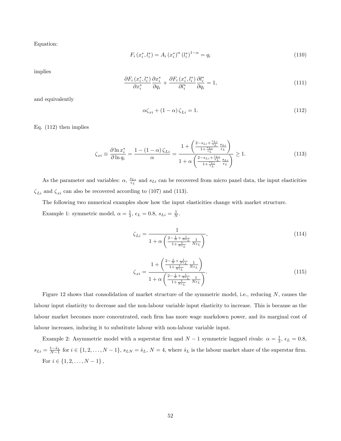Equation:

$$
F_i(x_i^*, l_i^*) = A_i(x_i^*)^{\alpha} (l_i^*)^{1-\alpha} = q_i
$$
\n(110)

implies

$$
\frac{\partial F_i(x_i^*, l_i^*)}{\partial x_i^*} \frac{\partial x_i^*}{\partial q_i} + \frac{\partial F_i(x_i^*, l_i^*)}{\partial l_i^*} \frac{\partial l_i^*}{\partial q_i} = 1,
$$
\n(111)

and equivalently

$$
\alpha \zeta_{xi} + (1 - \alpha) \zeta_{Li} = 1. \tag{112}
$$

Eq. (112) then implies

$$
\zeta_{xi} \equiv \frac{\partial \ln x_i^*}{\partial \ln q_i} = \frac{1 - (1 - \alpha) \zeta_{Li}}{\alpha} = \frac{1 + \left(\frac{2 - s_{Li} + \frac{s_{Li}}{\epsilon_L}}{1 + \frac{s_{Li}}{\epsilon_L}} \frac{s_{Li}}{\epsilon_L}\right)}{1 + \alpha \left(\frac{2 - s_{Li} + \frac{s_{Li}}{\epsilon_L}}{1 + \frac{s_{Li}}{\epsilon_L}} \frac{s_{Li}}{\epsilon_L}\right)} \ge 1.
$$
\n(113)

As the parameter and variables:  $\alpha$ ,  $\frac{s_{Li}}{\epsilon_L}$  and  $s_{Li}$  can be recovered from micro panel data, the input elasticities  $\zeta_{Li}$  and  $\zeta_{xi}$  can also be recovered according to (107) and (113).

The following two numerical examples show how the input elasticities change with market structure.

Example 1: symmetric model,  $\alpha = \frac{1}{3}$ ,  $\epsilon_L = 0.8$ ,  $s_{Li} = \frac{1}{N}$ .

$$
\zeta_{Li} = \frac{1}{1 + \alpha \left( \frac{2 - \frac{1}{N} + \frac{1}{N\epsilon_L}}{1 + \frac{1}{N\epsilon_L}} \frac{1}{N\epsilon_L} \right)},\tag{114}
$$

$$
\zeta_{xi} = \frac{1 + \left(\frac{2 - \frac{1}{N} + \frac{1}{N\epsilon_L}}{1 + \frac{1}{N\epsilon_L}} \frac{1}{N\epsilon_L}\right)}{1 + \alpha \left(\frac{2 - \frac{1}{N} + \frac{1}{N\epsilon_L}}{1 + \frac{1}{N\epsilon_L}} \frac{1}{N\epsilon_L}\right)}.
$$
\n(115)

Figure 12 shows that consolidation of market structure of the symmetric model, i.e., reducing  $N$ , causes the labour input elasticity to decrease and the non-labour variable input elasticity to increase. This is because as the labour market becomes more concentrated, each firm has more wage markdown power, and its marginal cost of labour increases, inducing it to substitute labour with non-labour variable input.

Example 2: Asymmetric model with a superstar firm and  $N-1$  symmetric laggard rivals:  $\alpha = \frac{1}{3}$ ,  $\epsilon_L = 0.8$ ,  $s_{Li} = \frac{1-\hat{s}_L}{N-1}$  for  $i \in \{1, 2, ..., N-1\}$ ,  $s_{LN} = \hat{s}_L$ ,  $N = 4$ , where  $\hat{s}_L$  is the labour market share of the superstar firm. For  $i \in \{1, 2, \ldots, N-1\}$ ,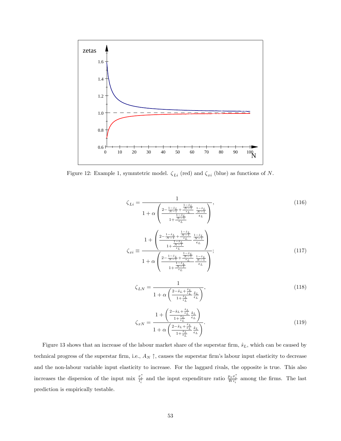

Figure 12: Example 1, symmtetric model.  $\zeta_{Li}$  (red) and  $\zeta_{xi}$  (blue) as functions of N.

$$
\zeta_{Li} = \frac{1}{1 + \alpha \left( \frac{2 - \frac{1 - \hat{s}_L}{N - 1} + \frac{1 - \hat{s}_L}{N - 1}}{\frac{1 - \hat{s}_L}{1} - \frac{1 - \hat{s}_L}{\epsilon_L}} \right)},
$$
(116)  

$$
1 + \alpha \left( \frac{\frac{1 - \hat{s}_L}{N - 1} + \frac{1 - \hat{s}_L}{N - 1}}{1 + \frac{N - 1}{\epsilon_L}} \right)}
$$
  

$$
\zeta_{xi} \equiv \frac{1 + \left( \frac{2 - \frac{1 - \hat{s}_L}{N - 1} + \frac{1 - \hat{s}_L}{N - 1}}{\frac{1 - \hat{s}_L}{1} - \frac{1 - \hat{s}_L}{\epsilon_L}} \right)}{1 + \frac{N - 1}{\epsilon_L}};
$$
(117)

$$
\zeta_{LN} = \frac{1}{1 + \alpha \left( \frac{2 - \hat{s}_L + \frac{\hat{s}_L}{\epsilon_L}}{1 + \frac{\hat{s}_L}{\epsilon_L}} \frac{\hat{s}_L}{\epsilon_L} \right)},\tag{118}
$$

$$
\zeta_{xN} = \frac{1 + \left(\frac{2 - \hat{s}_L + \frac{\hat{s}_L}{\epsilon_L}}{1 + \frac{\hat{s}_L}{\epsilon_L}} \frac{\hat{s}_L}{\epsilon_L}\right)}{1 + \alpha \left(\frac{2 - \hat{s}_L + \frac{\hat{s}_L}{\epsilon_L}}{1 + \frac{\hat{s}_L}{\epsilon_L}} \frac{\hat{s}_L}{\epsilon_L}\right)}.
$$
(119)

Figure 13 shows that an increase of the labour market share of the superstar firm,  $\hat{s}_L$ , which can be caused by technical progress of the superstar firm, i.e.,  $A_N \uparrow$ , causes the superstar firm's labour input elasticity to decrease and the non-labour variable input elasticity to increase. For the laggard rivals, the opposite is true. This also increases the dispersion of the input mix  $\frac{x_i^*}{l_i^*}$  and the input expenditure ratio  $\frac{p_x x_i^*}{Wl_i^*}$  among the firms. The last prediction is empirically testable.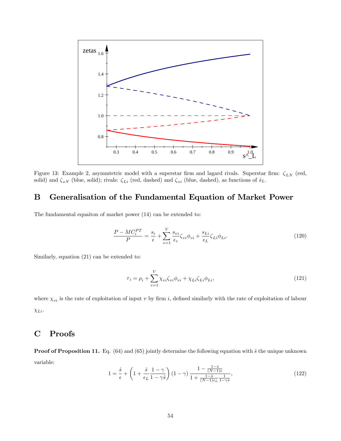

Figure 13: Example 2, asymmtetric model with a superstar firm and lagard rivals. Superstar firm:  $\zeta_{LN}$  (red, solid) and  $\zeta_{xN}$  (blue, solid); rivals:  $\zeta_{Li}$  (red, dashed) and  $\zeta_{xi}$  (blue, dashed), as functions of  $\hat{s}_L$ .

## B Generalisation of the Fundamental Equation of Market Power

The fundamental equaiton of market power (14) can be extended to:

$$
\frac{P - MC_i^{PT}}{P} = \frac{s_i}{\epsilon} + \sum_{v=1}^{V} \frac{s_{vi}}{\epsilon_v} \zeta_{vi} \phi_{vi} + \frac{s_{Li}}{\epsilon_L} \zeta_{Li} \phi_{Li}.
$$
\n(120)

Similarly, equation (21) can be extended to:

$$
\tau_i = \rho_i + \sum_{v=1}^{V} \chi_{vi} \zeta_{vi} \phi_{vi} + \chi_{Li} \zeta_{Li} \phi_{Li}, \qquad (121)
$$

where  $\chi_{vi}$  is the rate of exploitation of input v by firm i, defined similarly with the rate of exploitation of labour  $\chi_{Li}$ .

## C Proofs

**Proof of Proposition 11.** Eq. (64) and (65) jointly determine the following equation with  $\hat{s}$  the unique unknown variable:

$$
1 = \frac{\hat{s}}{\epsilon} + \left(1 + \frac{\hat{s}}{\epsilon_L} \frac{1 - \gamma}{1 - \gamma \hat{s}}\right) (1 - \gamma) \frac{1 - \frac{1 - \hat{s}}{(N - 1)\epsilon}}{1 + \frac{1 - \hat{s}}{(N - 1)\epsilon_L} \frac{1}{1 - \gamma \hat{s}}},\tag{122}
$$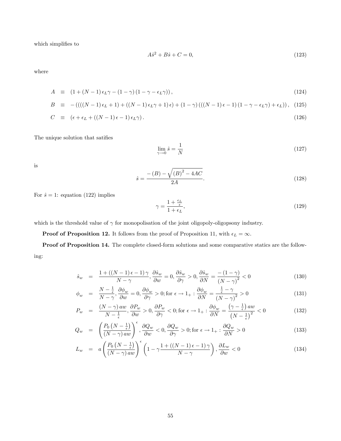which simplifies to

$$
A\hat{s}^2 + B\hat{s} + C = 0,\t(123)
$$

where

$$
A \equiv (1 + (N - 1)\epsilon_L \gamma - (1 - \gamma)(1 - \gamma - \epsilon_L \gamma)), \qquad (124)
$$

$$
B = -(((N-1)\epsilon_L + 1) + ((N-1)\epsilon_L \gamma + 1)\epsilon) + (1-\gamma)((N-1)\epsilon - 1)(1-\gamma - \epsilon_L \gamma) + \epsilon_L)), \quad (125)
$$

$$
C \equiv (\epsilon + \epsilon_L + ((N - 1)\epsilon - 1)\epsilon_L \gamma). \tag{126}
$$

The unique solution that satifies

$$
\lim_{\gamma \to 0} \hat{s} = \frac{1}{N} \tag{127}
$$

is

$$
\hat{s} = \frac{- (B) - \sqrt{(B)^2 - 4AC}}{2A}.
$$
\n(128)

For  $\hat{s} = 1$ : equation (122) implies

$$
\gamma = \frac{1 + \frac{\epsilon_L}{\epsilon}}{1 + \epsilon_L},\tag{129}
$$

which is the threshold value of  $\gamma$  for monopolisation of the joint oligopoly-oligopsony industry.

**Proof of Proposition 12.** It follows from the proof of Proposition 11, with  $\epsilon_L = \infty$ .

Proof of Proposition 14. The complete closed-form solutions and some comparative statics are the following:

$$
\hat{s}_w = \frac{1 + ((N-1)\epsilon - 1)\gamma}{N - \gamma}, \frac{\partial \hat{s}_w}{\partial w} = 0, \frac{\partial \hat{s}_w}{\partial \gamma} > 0, \frac{\partial \hat{s}_w}{\partial N} = \frac{-(1-\gamma)}{(N-\gamma)^2} < 0 \tag{130}
$$

$$
\phi_w = \frac{N - \frac{1}{\epsilon}}{N - \gamma}, \frac{\partial \phi_w}{\partial w} = 0, \frac{\partial \phi_w}{\partial \gamma} > 0; \text{for } \epsilon \to 1_+ : \frac{\partial \phi_w}{\partial N} = \frac{\frac{1}{\epsilon} - \gamma}{(N - \gamma)^2} > 0 \tag{131}
$$

$$
P_w = \frac{(N-\gamma) \, aw}{N-\frac{1}{\epsilon}}, \frac{\partial P_w}{\partial w} > 0, \frac{\partial P_w}{\partial \gamma} < 0; \text{for } \epsilon \to 1_+ : \frac{\partial \phi_w}{\partial N} = \frac{(\gamma-\frac{1}{\epsilon}) \, aw}{(N-\frac{1}{\epsilon})^2} < 0 \tag{132}
$$

$$
Q_w = \left(\frac{P_0\left(N - \frac{1}{\epsilon}\right)}{\left(N - \gamma\right)aw}\right)^{\epsilon}, \frac{\partial Q_w}{\partial w} < 0, \frac{\partial Q_w}{\partial \gamma} > 0; \text{for } \epsilon \to 1_+ : \frac{\partial Q_w}{\partial N} > 0 \tag{133}
$$

$$
L_w = a \left( \frac{P_0 \left( N - \frac{1}{\epsilon} \right)}{\left( N - \gamma \right) aw} \right)^{\epsilon} \left( 1 - \gamma \frac{1 + \left( \left( N - 1 \right) \epsilon - 1 \right) \gamma}{N - \gamma} \right), \frac{\partial L_w}{\partial w} < 0 \tag{134}
$$